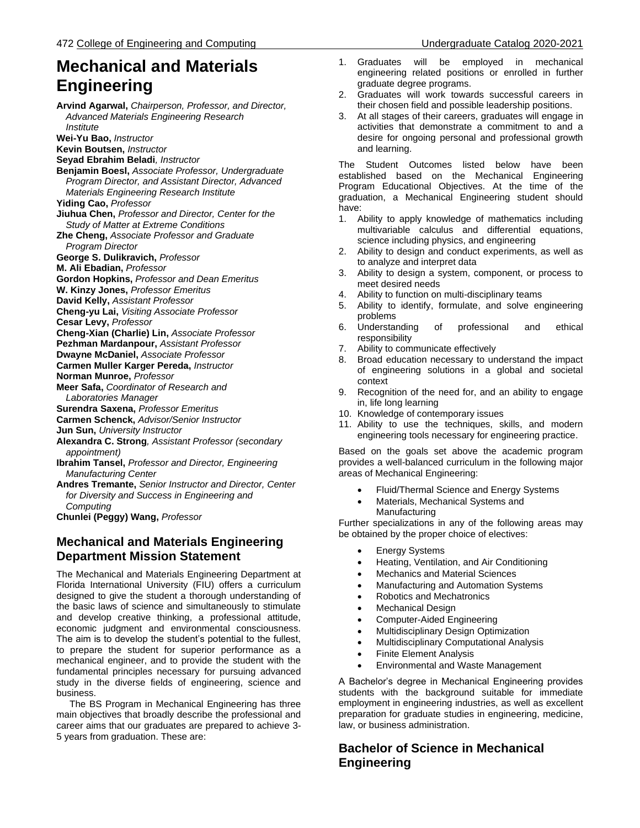# **Mechanical and Materials Engineering**

**Arvind Agarwal,** *Chairperson, Professor, and Director, Advanced Materials Engineering Research Institute* **Wei-Yu Bao,** *Instructor* **Kevin Boutsen,** *Instructor* **Seyad Ebrahim Beladi***, Instructor*  **Benjamin Boesl,** *Associate Professor, Undergraduate Program Director, and Assistant Director, Advanced Materials Engineering Research Institute* **Yiding Cao,** *Professor* **Jiuhua Chen,** *Professor and Director, Center for the Study of Matter at Extreme Conditions*  **Zhe Cheng,** *Associate Professor and Graduate Program Director* **George S. Dulikravich,** *Professor* **M. Ali Ebadian,** *Professor* **Gordon Hopkins,** *Professor and Dean Emeritus* **W. Kinzy Jones,** *Professor Emeritus* **David Kelly,** *Assistant Professor* **Cheng-yu Lai,** *Visiting Associate Professor* **Cesar Levy,** *Professor* **Cheng-Xian (Charlie) Lin,** *Associate Professor* **Pezhman Mardanpour,** *Assistant Professor* **Dwayne McDaniel,** *Associate Professor* **Carmen Muller Karger Pereda,** *Instructor* **Norman Munroe,** *Professor* **Meer Safa,** *Coordinator of Research and Laboratories Manager* **Surendra Saxena,** *Professor Emeritus* **Carmen Schenck,** *Advisor/Senior Instructor* **Jun Sun,** *University Instructor* **Alexandra C. Strong***, Assistant Professor (secondary appointment)* **Ibrahim Tansel,** *Professor and Director, Engineering Manufacturing Center*  **Andres Tremante,** *Senior Instructor and Director, Center for Diversity and Success in Engineering and Computing* **Chunlei (Peggy) Wang,** *Professor*

# **Mechanical and Materials Engineering Department Mission Statement**

The Mechanical and Materials Engineering Department at Florida International University (FIU) offers a curriculum designed to give the student a thorough understanding of the basic laws of science and simultaneously to stimulate and develop creative thinking, a professional attitude, economic judgment and environmental consciousness. The aim is to develop the student's potential to the fullest, to prepare the student for superior performance as a mechanical engineer, and to provide the student with the fundamental principles necessary for pursuing advanced study in the diverse fields of engineering, science and business.

 The BS Program in Mechanical Engineering has three main objectives that broadly describe the professional and career aims that our graduates are prepared to achieve 3- 5 years from graduation. These are:

- 1. Graduates will be employed in mechanical engineering related positions or enrolled in further graduate degree programs.
- 2. Graduates will work towards successful careers in their chosen field and possible leadership positions.
- At all stages of their careers, graduates will engage in activities that demonstrate a commitment to and a desire for ongoing personal and professional growth and learning.

The Student Outcomes listed below have been established based on the Mechanical Engineering Program Educational Objectives. At the time of the graduation, a Mechanical Engineering student should have:

- 1. Ability to apply knowledge of mathematics including multivariable calculus and differential equations, science including physics, and engineering
- 2. Ability to design and conduct experiments, as well as to analyze and interpret data
- 3. Ability to design a system, component, or process to meet desired needs
- 4. Ability to function on multi-disciplinary teams
- 5. Ability to identify, formulate, and solve engineering problems
- 6. Understanding of professional and ethical responsibility
- 7. Ability to communicate effectively
- 8. Broad education necessary to understand the impact of engineering solutions in a global and societal context
- 9. Recognition of the need for, and an ability to engage in, life long learning
- 10. Knowledge of contemporary issues
- 11. Ability to use the techniques, skills, and modern engineering tools necessary for engineering practice.

Based on the goals set above the academic program provides a well-balanced curriculum in the following major areas of Mechanical Engineering:

- Fluid/Thermal Science and Energy Systems
- Materials, Mechanical Systems and Manufacturing

Further specializations in any of the following areas may be obtained by the proper choice of electives:

- Energy Systems
- Heating, Ventilation, and Air Conditioning
- Mechanics and Material Sciences
- Manufacturing and Automation Systems
- Robotics and Mechatronics
- Mechanical Design
- Computer-Aided Engineering
- Multidisciplinary Design Optimization
- Multidisciplinary Computational Analysis
- Finite Element Analysis
- Environmental and Waste Management

A Bachelor's degree in Mechanical Engineering provides students with the background suitable for immediate employment in engineering industries, as well as excellent preparation for graduate studies in engineering, medicine, law, or business administration.

# **Bachelor of Science in Mechanical Engineering**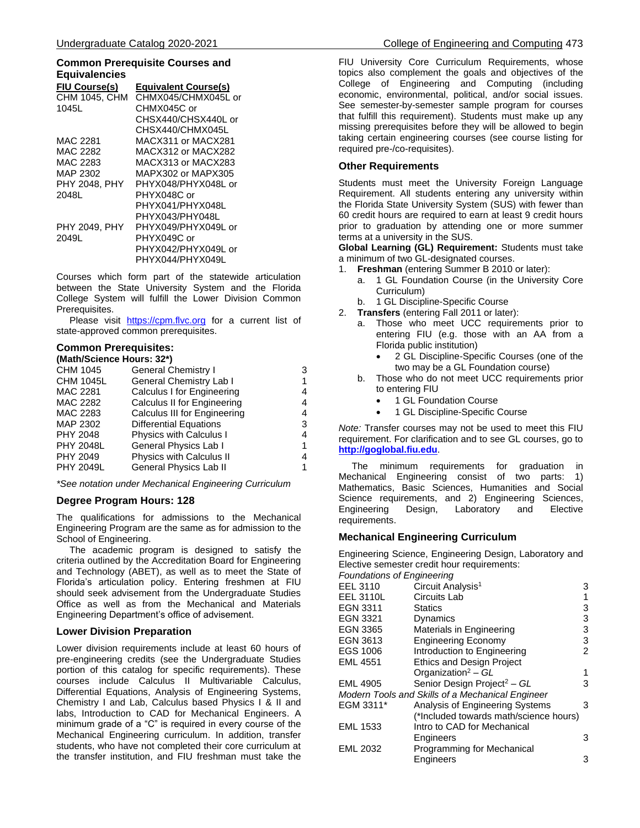#### **Common Prerequisite Courses and Equivalencies**

| Equivalencies        |                             |
|----------------------|-----------------------------|
| FIU Course(s)        | <b>Equivalent Course(s)</b> |
| <b>CHM 1045, CHM</b> | CHMX045/CHMX045L or         |
| 1045L                | CHMX045C or                 |
|                      | CHSX440/CHSX440L or         |
|                      | CHSX440/CHMX045L            |
| MAC 2281             | MACX311 or MACX281          |
| MAC 2282             | MACX312 or MACX282          |
| MAC 2283             | MACX313 or MACX283          |
| MAP 2302             | MAPX302 or MAPX305          |
| <b>PHY 2048, PHY</b> | PHYX048/PHYX048L or         |
| 2048L                | PHYX048C or                 |
|                      | PHYX041/PHYX048L            |
|                      | PHYX043/PHY048L             |
| PHY 2049, PHY        | PHYX049/PHYX049L or         |
| 2049L                | PHYX049C or                 |
|                      | PHYX042/PHYX049L or         |
|                      | PHYX044/PHYX049L            |

Courses which form part of the statewide articulation between the State University System and the Florida College System will fulfill the Lower Division Common Prerequisites.

Please visit [https://cpm.flvc.org](https://cpm.flvc.org/) for a current list of state-approved common prerequisites.

# **Common Prerequisites:**

| (Math/Science Hours: 32*) |                                |   |  |
|---------------------------|--------------------------------|---|--|
| CHM 1045                  | <b>General Chemistry I</b>     | 3 |  |
| <b>CHM 1045L</b>          | <b>General Chemistry Lab I</b> |   |  |
| <b>MAC 2281</b>           | Calculus I for Engineering     | 4 |  |
| MAC 2282                  | Calculus II for Engineering    | 4 |  |
| MAC 2283                  | Calculus III for Engineering   | 4 |  |
| MAP 2302                  | <b>Differential Equations</b>  | 3 |  |
| <b>PHY 2048</b>           | <b>Physics with Calculus I</b> | 4 |  |
| <b>PHY 2048L</b>          | General Physics Lab I          |   |  |
| <b>PHY 2049</b>           | Physics with Calculus II       |   |  |
| <b>PHY 2049L</b>          | General Physics Lab II         |   |  |

*\*See notation under Mechanical Engineering Curriculum*

# **Degree Program Hours: 128**

The qualifications for admissions to the Mechanical Engineering Program are the same as for admission to the School of Engineering.

 The academic program is designed to satisfy the criteria outlined by the Accreditation Board for Engineering and Technology (ABET), as well as to meet the State of Florida's articulation policy. Entering freshmen at FIU should seek advisement from the Undergraduate Studies Office as well as from the Mechanical and Materials Engineering Department's office of advisement.

# **Lower Division Preparation**

Lower division requirements include at least 60 hours of pre-engineering credits (see the Undergraduate Studies portion of this catalog for specific requirements). These courses include Calculus II Multivariable Calculus, Differential Equations, Analysis of Engineering Systems, Chemistry I and Lab, Calculus based Physics I & II and labs, Introduction to CAD for Mechanical Engineers. A minimum grade of a "C" is required in every course of the Mechanical Engineering curriculum. In addition, transfer students, who have not completed their core curriculum at the transfer institution, and FIU freshman must take the

FIU University Core Curriculum Requirements, whose topics also complement the goals and objectives of the College of Engineering and Computing (including economic, environmental, political, and/or social issues. See semester-by-semester sample program for courses that fulfill this requirement). Students must make up any missing prerequisites before they will be allowed to begin taking certain engineering courses (see course listing for required pre-/co-requisites).

# **Other Requirements**

Students must meet the University Foreign Language Requirement. All students entering any university within the Florida State University System (SUS) with fewer than 60 credit hours are required to earn at least 9 credit hours prior to graduation by attending one or more summer terms at a university in the SUS.

**Global Learning (GL) Requirement:** Students must take a minimum of two GL-designated courses.

- 1. **Freshman** (entering Summer B 2010 or later):
	- a. 1 GL Foundation Course (in the University Core Curriculum)
	- b. 1 GL Discipline-Specific Course
- 2. **Transfers** (entering Fall 2011 or later):
	- a. Those who meet UCC requirements prior to entering FIU (e.g. those with an AA from a Florida public institution)
		- 2 GL Discipline-Specific Courses (one of the two may be a GL Foundation course)
	- b. Those who do not meet UCC requirements prior to entering FIU
		- 1 GL Foundation Course
		- 1 GL Discipline-Specific Course

*Note:* Transfer courses may not be used to meet this FIU requirement. For clarification and to see GL courses, go to **[http://goglobal.fiu.edu](http://goglobal.fiu.edu/)**.

 The minimum requirements for graduation in Mechanical Engineering consist of two parts: 1) Mathematics, Basic Sciences, Humanities and Social Science requirements, and 2) Engineering Sciences, Engineering Design, Laboratory and Elective requirements.

# **Mechanical Engineering Curriculum**

Engineering Science, Engineering Design, Laboratory and Elective semester credit hour requirements:

| Foundations of Engineering |  |  |  |
|----------------------------|--|--|--|
|                            |  |  |  |
|                            |  |  |  |

| EEL 3110         | Circuit Analysis <sup>1</sup>                    | 3 |
|------------------|--------------------------------------------------|---|
| <b>EEL 3110L</b> | Circuits Lab                                     |   |
| EGN 3311         | <b>Statics</b>                                   | 3 |
| <b>EGN 3321</b>  | Dynamics                                         | 3 |
| <b>EGN 3365</b>  | Materials in Engineering                         | 3 |
| EGN 3613         | <b>Engineering Economy</b>                       | 3 |
| EGS 1006         | Introduction to Engineering                      | 2 |
| <b>EML 4551</b>  | <b>Ethics and Design Project</b>                 |   |
|                  | Organization <sup>2</sup> - GL                   | 1 |
| <b>EML 4905</b>  | Senior Design Project <sup>2</sup> - GL          | 3 |
|                  | Modern Tools and Skills of a Mechanical Engineer |   |
| EGM 3311*        | Analysis of Engineering Systems                  | 3 |
|                  | (*Included towards math/science hours)           |   |
| <b>EML 1533</b>  | Intro to CAD for Mechanical                      |   |
|                  | Engineers                                        | 3 |
| <b>EML 2032</b>  | Programming for Mechanical                       |   |
|                  | Engineers                                        | 3 |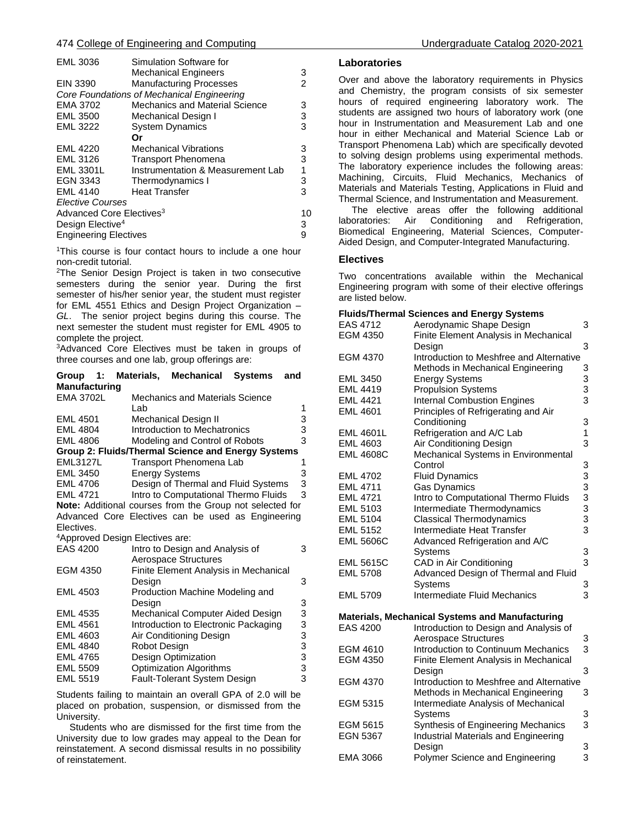#### 474 College of Engineering and Computing Undergraduate Catalog 2020-2021

| <b>EML 3036</b>                      | Simulation Software for                    |               |
|--------------------------------------|--------------------------------------------|---------------|
|                                      | <b>Mechanical Engineers</b>                | 3             |
| <b>EIN 3390</b>                      | <b>Manufacturing Processes</b>             | $\mathcal{P}$ |
|                                      | Core Foundations of Mechanical Engineering |               |
| <b>EMA 3702</b>                      | Mechanics and Material Science             | 3             |
| <b>EML 3500</b>                      | Mechanical Design I                        | 3             |
| <b>EML 3222</b>                      | <b>System Dynamics</b>                     | 3             |
|                                      | Оr                                         |               |
| <b>EML 4220</b>                      | <b>Mechanical Vibrations</b>               | 3             |
| <b>EML 3126</b>                      | <b>Transport Phenomena</b>                 | 3             |
| <b>EML 3301L</b>                     | Instrumentation & Measurement Lab          | 1             |
| EGN 3343                             | Thermodynamics I                           | 3             |
| <b>EML 4140</b>                      | <b>Heat Transfer</b>                       | 3             |
| <b>Elective Courses</b>              |                                            |               |
| Advanced Core Electives <sup>3</sup> |                                            | 10            |
| Design Elective <sup>4</sup>         |                                            | 3             |
| <b>Engineering Electives</b>         |                                            | 9             |
|                                      |                                            |               |

<sup>1</sup>This course is four contact hours to include a one hour non-credit tutorial.

<sup>2</sup>The Senior Design Project is taken in two consecutive semesters during the senior year. During the first semester of his/her senior year, the student must register for EML 4551 Ethics and Design Project Organization – *GL*. The senior project begins during this course. The next semester the student must register for EML 4905 to complete the project.

<sup>3</sup>Advanced Core Electives must be taken in groups of three courses and one lab, group offerings are:

| $-1:$<br>Group                              |                       | Materials, Mechanical                | <b>Systems</b>                                           | and |
|---------------------------------------------|-----------------------|--------------------------------------|----------------------------------------------------------|-----|
| <b>Manufacturing</b>                        |                       |                                      |                                                          |     |
| <b>EMA 3702L</b>                            |                       | Mechanics and Materials Science      |                                                          |     |
|                                             | Lab                   |                                      |                                                          | 1   |
| <b>EML 4501</b>                             |                       | Mechanical Design II                 |                                                          | 3   |
| <b>EML 4804</b>                             |                       | Introduction to Mechatronics         |                                                          | 3   |
| <b>EML 4806</b>                             |                       | Modeling and Control of Robots       |                                                          | 3   |
|                                             |                       |                                      | Group 2: Fluids/Thermal Science and Energy Systems       |     |
| <b>EML3127L</b>                             |                       | Transport Phenomena Lab              |                                                          | 1   |
| <b>EML 3450</b>                             | <b>Energy Systems</b> |                                      |                                                          | 3   |
| <b>EML 4706</b>                             |                       |                                      | Design of Thermal and Fluid Systems                      | 3   |
| <b>EML 4721</b>                             |                       | Intro to Computational Thermo Fluids |                                                          | 3   |
|                                             |                       |                                      | Note: Additional courses from the Group not selected for |     |
|                                             |                       |                                      | Advanced Core Electives can be used as Engineering       |     |
| Electives.                                  |                       |                                      |                                                          |     |
| <sup>4</sup> Approved Design Electives are: |                       |                                      |                                                          |     |
| <b>EAS 4200</b>                             |                       | Intro to Design and Analysis of      |                                                          | 3   |
|                                             |                       | Aerospace Structures                 |                                                          |     |
| EGM 4350                                    |                       |                                      | Finite Element Analysis in Mechanical                    |     |
|                                             | Design                |                                      |                                                          | 3   |
| <b>EML 4503</b>                             |                       | Production Machine Modeling and      |                                                          |     |
|                                             | Design                |                                      |                                                          | 3   |
| <b>EML 4535</b>                             |                       | Mechanical Computer Aided Design     |                                                          | 3   |
| <b>EML 4561</b>                             |                       | Introduction to Electronic Packaging |                                                          | 3   |
| <b>EML 4603</b>                             |                       | Air Conditioning Design              |                                                          | 3   |
| <b>EML 4840</b>                             | Robot Design          |                                      |                                                          | 3   |
| <b>EML 4765</b>                             |                       | Design Optimization                  |                                                          | 3   |
| <b>EML 5509</b>                             |                       | <b>Optimization Algorithms</b>       |                                                          | 3   |
| <b>EML 5519</b>                             |                       | Fault-Tolerant System Design         |                                                          | 3   |

Students failing to maintain an overall GPA of 2.0 will be placed on probation, suspension, or dismissed from the University.

 Students who are dismissed for the first time from the University due to low grades may appeal to the Dean for reinstatement. A second dismissal results in no possibility of reinstatement.

### **Laboratories**

Over and above the laboratory requirements in Physics and Chemistry, the program consists of six semester hours of required engineering laboratory work. The students are assigned two hours of laboratory work (one hour in Instrumentation and Measurement Lab and one hour in either Mechanical and Material Science Lab or Transport Phenomena Lab) which are specifically devoted to solving design problems using experimental methods. The laboratory experience includes the following areas: Machining, Circuits, Fluid Mechanics, Mechanics of Materials and Materials Testing, Applications in Fluid and Thermal Science, and Instrumentation and Measurement.

 The elective areas offer the following additional laboratories: Air Conditioning and Refrigeration, Biomedical Engineering, Material Sciences, Computer-Aided Design, and Computer-Integrated Manufacturing.

### **Electives**

Two concentrations available within the Mechanical Engineering program with some of their elective offerings are listed below.

#### **Fluids/Thermal Sciences and Energy Systems**

| EAS 4712         | - 97<br>Aerodynamic Shape Design                | 3                                               |
|------------------|-------------------------------------------------|-------------------------------------------------|
| EGM 4350         | Finite Element Analysis in Mechanical           |                                                 |
|                  | Design                                          | 3                                               |
| <b>EGM 4370</b>  | Introduction to Meshfree and Alternative        |                                                 |
|                  | Methods in Mechanical Engineering               | 3                                               |
| <b>EML 3450</b>  | <b>Energy Systems</b>                           | $\frac{3}{3}$                                   |
| <b>EML 4419</b>  | <b>Propulsion Systems</b>                       |                                                 |
| <b>EML 4421</b>  | <b>Internal Combustion Engines</b>              | 3                                               |
| <b>EML 4601</b>  | Principles of Refrigerating and Air             |                                                 |
|                  | Conditioning                                    | 3                                               |
| <b>EML 4601L</b> | Refrigeration and A/C Lab                       | 1                                               |
| <b>EML 4603</b>  | Air Conditioning Design                         | 3                                               |
| <b>EML 4608C</b> | Mechanical Systems in Environmental             |                                                 |
|                  | Control                                         | 3                                               |
| <b>EML 4702</b>  | <b>Fluid Dynamics</b>                           |                                                 |
| <b>EML 4711</b>  | <b>Gas Dynamics</b>                             |                                                 |
| <b>EML 4721</b>  | Intro to Computational Thermo Fluids            | $\begin{array}{c} 3 \\ 3 \\ 3 \\ 3 \end{array}$ |
| EML 5103         | Intermediate Thermodynamics                     |                                                 |
| <b>EML 5104</b>  | <b>Classical Thermodynamics</b>                 |                                                 |
| <b>EML 5152</b>  | Intermediate Heat Transfer                      | 3                                               |
| <b>EML 5606C</b> | Advanced Refrigeration and A/C                  |                                                 |
|                  | Systems                                         | 3                                               |
| <b>EML 5615C</b> | CAD in Air Conditioning                         | 3                                               |
| <b>EML 5708</b>  | Advanced Design of Thermal and Fluid            |                                                 |
|                  | Systems                                         | 3                                               |
| <b>EML 5709</b>  | Intermediate Fluid Mechanics                    | 3                                               |
|                  | Materials, Mechanical Systems and Manufacturing |                                                 |
| <b>EAS 4200</b>  | Introduction to Design and Analysis of          |                                                 |
|                  | <b>Aerospace Structures</b>                     | 3                                               |
| EGM 4610         | Introduction to Continuum Mechanics             | 3                                               |
| EGM 4350         | <b>Finite Element Analysis in Mechanical</b>    |                                                 |
|                  | Design                                          | 3                                               |
| <b>EGM 4370</b>  | Introduction to Meshfree and Alternative        |                                                 |
|                  | Methods in Mechanical Engineering               | 3                                               |
| EGM 5315         | Intermediate Analysis of Mechanical             |                                                 |
|                  | Systems                                         | 3                                               |
| <b>EGM 5615</b>  | Synthesis of Engineering Mechanics              | 3                                               |

EGN 5367 Industrial Materials and Engineering

EMA 3066 Polymer Science and Engineering 3

Design 3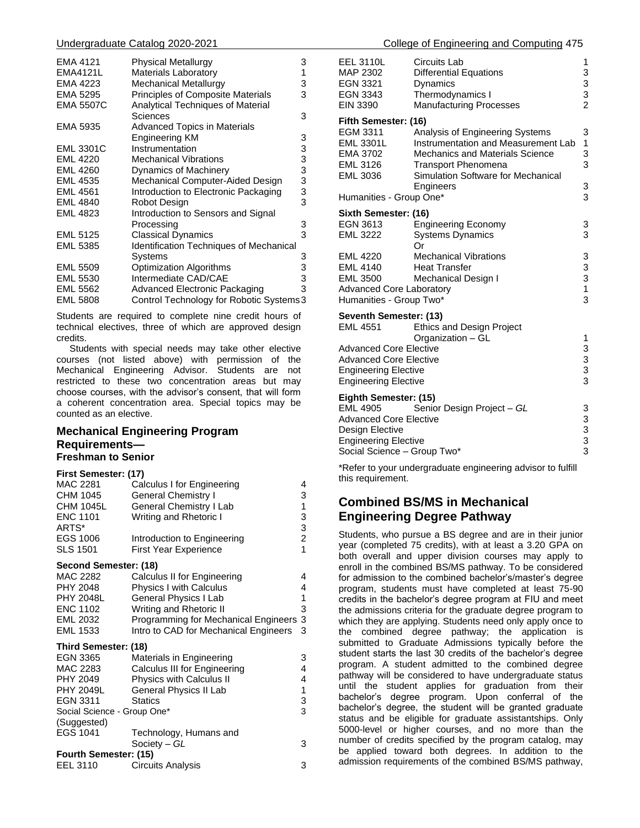| EMA 4121         | Physical Metallurgy                            | 3 |
|------------------|------------------------------------------------|---|
| <b>EMA4121L</b>  | <b>Materials Laboratory</b>                    | 1 |
| EMA 4223         | Mechanical Metallurgy                          | 3 |
| EMA 5295         | Principles of Composite Materials              | 3 |
| <b>EMA 5507C</b> | Analytical Techniques of Material              |   |
|                  | Sciences                                       | 3 |
| EMA 5935         | <b>Advanced Topics in Materials</b>            |   |
|                  | Engineering KM                                 | 3 |
| <b>EML 3301C</b> | Instrumentation                                | 3 |
| <b>EML 4220</b>  | <b>Mechanical Vibrations</b>                   | 3 |
| <b>EML 4260</b>  | Dynamics of Machinery                          | 3 |
| <b>EML 4535</b>  | Mechanical Computer-Aided Design               | 3 |
| <b>EML 4561</b>  | Introduction to Electronic Packaging           | 3 |
| <b>EML 4840</b>  | Robot Design                                   | 3 |
| <b>EML 4823</b>  | Introduction to Sensors and Signal             |   |
|                  | Processing                                     | 3 |
| <b>EML 5125</b>  | <b>Classical Dynamics</b>                      | 3 |
| <b>EML 5385</b>  | <b>Identification Techniques of Mechanical</b> |   |
|                  | Systems                                        | 3 |
| <b>EML 5509</b>  | <b>Optimization Algorithms</b>                 | 3 |
| <b>EML 5530</b>  | Intermediate CAD/CAE                           | 3 |
| <b>EML 5562</b>  | Advanced Electronic Packaging                  | 3 |
| <b>EML 5808</b>  | Control Technology for Robotic Systems3        |   |

Students are required to complete nine credit hours of technical electives, three of which are approved design credits.

 Students with special needs may take other elective courses (not listed above) with permission of the Mechanical Engineering Advisor. Students are not restricted to these two concentration areas but may choose courses, with the advisor's consent, that will form a coherent concentration area. Special topics may be counted as an elective.

# **Mechanical Engineering Program Requirements— Freshman to Senior**

| MAC 2281                    | Calculus I for Engineering            | 4 |
|-----------------------------|---------------------------------------|---|
| CHM 1045                    | <b>General Chemistry I</b>            | 3 |
| <b>CHM 1045L</b>            | General Chemistry I Lab               | 1 |
| <b>ENC 1101</b>             | Writing and Rhetoric I                | 3 |
| ARTS*                       |                                       | 3 |
| EGS 1006                    | Introduction to Engineering           | 2 |
| <b>SLS 1501</b>             | <b>First Year Experience</b>          | 1 |
| Second Semester: (18)       |                                       |   |
| MAC 2282                    | Calculus II for Engineering           | 4 |
| <b>PHY 2048</b>             | Physics I with Calculus               | 4 |
| <b>PHY 2048L</b>            | General Physics I Lab                 | 1 |
| <b>ENC 1102</b>             | Writing and Rhetoric II               | 3 |
| EML 2032                    | Programming for Mechanical Engineers  | 3 |
| EML 1533                    | Intro to CAD for Mechanical Engineers | 3 |
| Third Semester: (18)        |                                       |   |
| <b>EGN 3365</b>             | Materials in Engineering              | 3 |
| MAC 2283                    | Calculus III for Engineering          | 4 |
| PHY 2049                    | Physics with Calculus II              | 4 |
| <b>PHY 2049L</b>            | General Physics II Lab                | 1 |
| EGN 3311                    | <b>Statics</b>                        | 3 |
| Social Science - Group One* |                                       | 3 |
| (Suggested)                 |                                       |   |
| EGS 1041                    | Technology, Humans and                |   |
|                             | Society – GL                          | 3 |
| Fourth Semester: (15)       |                                       |   |
| EEL 3110                    | Circuits Analysis                     | 3 |

| <b>EEL 3110L</b><br>MAP 2302<br><b>EGN 3321</b><br><b>EGN 3343</b><br><b>EIN 3390</b>                                                                      | <b>Circuits Lab</b><br><b>Differential Equations</b><br>Dynamics<br>Thermodynamics I<br><b>Manufacturing Processes</b>                                                               | 1<br>3<br>3<br>3<br>$\overline{2}$ |
|------------------------------------------------------------------------------------------------------------------------------------------------------------|--------------------------------------------------------------------------------------------------------------------------------------------------------------------------------------|------------------------------------|
| Fifth Semester: (16)                                                                                                                                       |                                                                                                                                                                                      |                                    |
| EGM 3311<br><b>EML 3301L</b><br>EMA 3702<br><b>EML 3126</b><br><b>EML 3036</b>                                                                             | Analysis of Engineering Systems<br>Instrumentation and Measurement Lab<br><b>Mechanics and Materials Science</b><br><b>Transport Phenomena</b><br>Simulation Software for Mechanical | 3<br>1<br>3<br>3                   |
| Humanities - Group One*                                                                                                                                    | Engineers                                                                                                                                                                            | 3<br>3                             |
| Sixth Semester: (16)                                                                                                                                       |                                                                                                                                                                                      |                                    |
| EGN 3613<br><b>EML 3222</b>                                                                                                                                | <b>Engineering Economy</b><br><b>Systems Dynamics</b><br>Or                                                                                                                          | 3<br>3                             |
| <b>EML 4220</b><br><b>EML 4140</b><br><b>EML 3500</b><br><b>Advanced Core Laboratory</b><br>Humanities - Group Two*                                        | <b>Mechanical Vibrations</b><br><b>Heat Transfer</b><br>Mechanical Design I                                                                                                          | 3<br>3<br>3<br>1<br>3              |
| Seventh Semester: (13)<br><b>EML 4551</b>                                                                                                                  | Ethics and Design Project                                                                                                                                                            |                                    |
| Organization - GL<br><b>Advanced Core Elective</b><br><b>Advanced Core Elective</b><br><b>Engineering Elective</b><br><b>Engineering Elective</b>          |                                                                                                                                                                                      | 1<br>3<br>$\frac{3}{3}$<br>3       |
| Eighth Semester: (15)<br><b>EML 4905</b><br><b>Advanced Core Elective</b><br>Design Elective<br><b>Engineering Elective</b><br>Social Science - Group Two* | Senior Design Project - GL                                                                                                                                                           | 3<br>3<br>$\frac{3}{3}$<br>3       |
|                                                                                                                                                            |                                                                                                                                                                                      |                                    |

\*Refer to your undergraduate engineering advisor to fulfill this requirement.

# **Combined BS/MS in Mechanical Engineering Degree Pathway**

Students, who pursue a BS degree and are in their junior year (completed 75 credits), with at least a 3.20 GPA on both overall and upper division courses may apply to enroll in the combined BS/MS pathway. To be considered for admission to the combined bachelor's/master's degree program, students must have completed at least 75-90 credits in the bachelor's degree program at FIU and meet the admissions criteria for the graduate degree program to which they are applying. Students need only apply once to the combined degree pathway; the application is submitted to Graduate Admissions typically before the student starts the last 30 credits of the bachelor's degree program. A student admitted to the combined degree pathway will be considered to have undergraduate status until the student applies for graduation from their bachelor's degree program. Upon conferral of the bachelor's degree, the student will be granted graduate status and be eligible for graduate assistantships. Only 5000-level or higher courses, and no more than the number of credits specified by the program catalog, may be applied toward both degrees. In addition to the admission requirements of the combined BS/MS pathway,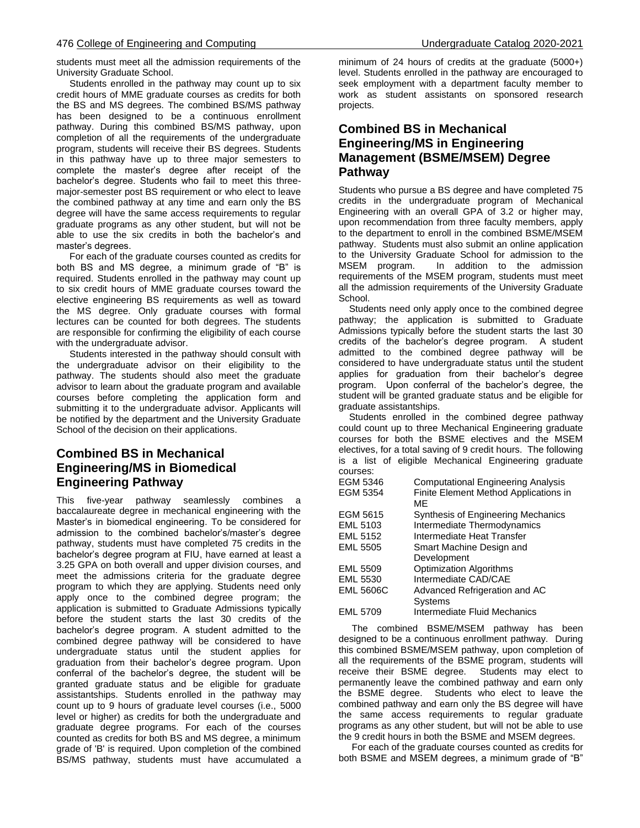students must meet all the admission requirements of the University Graduate School.

 Students enrolled in the pathway may count up to six credit hours of MME graduate courses as credits for both the BS and MS degrees. The combined BS/MS pathway has been designed to be a continuous enrollment pathway. During this combined BS/MS pathway, upon completion of all the requirements of the undergraduate program, students will receive their BS degrees. Students in this pathway have up to three major semesters to complete the master's degree after receipt of the bachelor's degree. Students who fail to meet this threemajor-semester post BS requirement or who elect to leave the combined pathway at any time and earn only the BS degree will have the same access requirements to regular graduate programs as any other student, but will not be able to use the six credits in both the bachelor's and master's degrees.

 For each of the graduate courses counted as credits for both BS and MS degree, a minimum grade of "B" is required. Students enrolled in the pathway may count up to six credit hours of MME graduate courses toward the elective engineering BS requirements as well as toward the MS degree. Only graduate courses with formal lectures can be counted for both degrees. The students are responsible for confirming the eligibility of each course with the undergraduate advisor.

 Students interested in the pathway should consult with the undergraduate advisor on their eligibility to the pathway. The students should also meet the graduate advisor to learn about the graduate program and available courses before completing the application form and submitting it to the undergraduate advisor. Applicants will be notified by the department and the University Graduate School of the decision on their applications.

# **Combined BS in Mechanical Engineering/MS in Biomedical Engineering Pathway**

This five-year pathway seamlessly combines a baccalaureate degree in mechanical engineering with the Master's in biomedical engineering. To be considered for admission to the combined bachelor's/master's degree pathway, students must have completed 75 credits in the bachelor's degree program at FIU, have earned at least a 3.25 GPA on both overall and upper division courses, and meet the admissions criteria for the graduate degree program to which they are applying. Students need only apply once to the combined degree program; the application is submitted to Graduate Admissions typically before the student starts the last 30 credits of the bachelor's degree program. A student admitted to the combined degree pathway will be considered to have undergraduate status until the student applies for graduation from their bachelor's degree program. Upon conferral of the bachelor's degree, the student will be granted graduate status and be eligible for graduate assistantships. Students enrolled in the pathway may count up to 9 hours of graduate level courses (i.e., 5000 level or higher) as credits for both the undergraduate and graduate degree programs. For each of the courses counted as credits for both BS and MS degree, a minimum grade of 'B' is required. Upon completion of the combined BS/MS pathway, students must have accumulated a minimum of 24 hours of credits at the graduate (5000+) level. Students enrolled in the pathway are encouraged to seek employment with a department faculty member to work as student assistants on sponsored research projects.

# **Combined BS in Mechanical Engineering/MS in Engineering Management (BSME/MSEM) Degree Pathway**

Students who pursue a BS degree and have completed 75 credits in the undergraduate program of Mechanical Engineering with an overall GPA of 3.2 or higher may, upon recommendation from three faculty members, apply to the department to enroll in the combined BSME/MSEM pathway. Students must also submit an online application to the University Graduate School for admission to the MSEM program. In addition to the admission requirements of the MSEM program, students must meet all the admission requirements of the University Graduate School.

 Students need only apply once to the combined degree pathway; the application is submitted to Graduate Admissions typically before the student starts the last 30 credits of the bachelor's degree program. A student admitted to the combined degree pathway will be considered to have undergraduate status until the student applies for graduation from their bachelor's degree program. Upon conferral of the bachelor's degree, the student will be granted graduate status and be eligible for graduate assistantships.

 Students enrolled in the combined degree pathway could count up to three Mechanical Engineering graduate courses for both the BSME electives and the MSEM electives, for a total saving of 9 credit hours. The following is a list of eligible Mechanical Engineering graduate courses:

| EGM 5346         | <b>Computational Engineering Analysis</b> |
|------------------|-------------------------------------------|
| EGM 5354         | Finite Element Method Applications in     |
|                  | MF                                        |
| EGM 5615         | Synthesis of Engineering Mechanics        |
| EML 5103         | Intermediate Thermodynamics               |
| <b>EML 5152</b>  | Intermediate Heat Transfer                |
| <b>EML 5505</b>  | Smart Machine Design and                  |
|                  | Development                               |
| <b>EML 5509</b>  | <b>Optimization Algorithms</b>            |
| <b>EML 5530</b>  | Intermediate CAD/CAE                      |
| <b>EML 5606C</b> | Advanced Refrigeration and AC             |
|                  | <b>Systems</b>                            |
| <b>FMI 5709</b>  | Intermediate Fluid Mechanics              |

 The combined BSME/MSEM pathway has been designed to be a continuous enrollment pathway. During this combined BSME/MSEM pathway, upon completion of all the requirements of the BSME program, students will receive their BSME degree. Students may elect to permanently leave the combined pathway and earn only the BSME degree. Students who elect to leave the combined pathway and earn only the BS degree will have the same access requirements to regular graduate programs as any other student, but will not be able to use the 9 credit hours in both the BSME and MSEM degrees.

 For each of the graduate courses counted as credits for both BSME and MSEM degrees, a minimum grade of "B"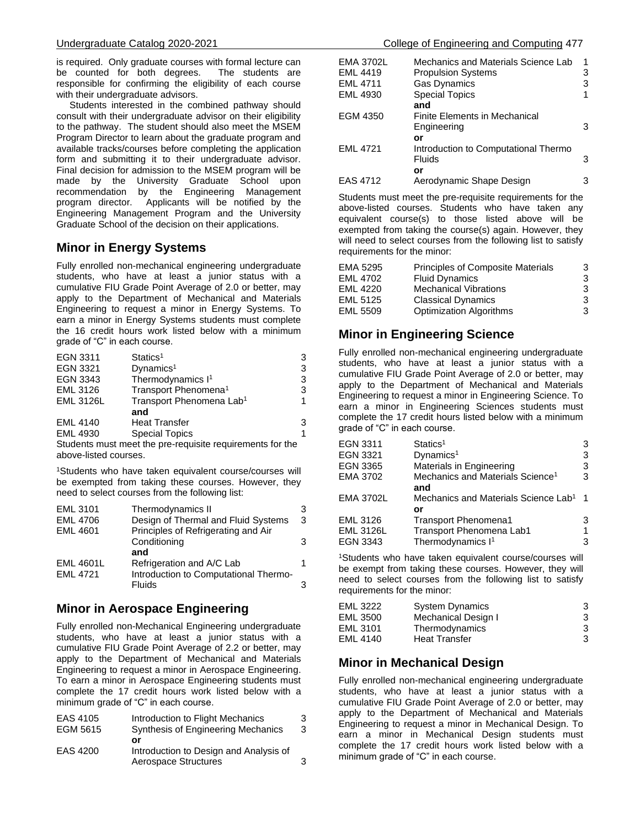is required. Only graduate courses with formal lecture can be counted for both degrees. The students are responsible for confirming the eligibility of each course with their undergraduate advisors.

 Students interested in the combined pathway should consult with their undergraduate advisor on their eligibility to the pathway. The student should also meet the MSEM Program Director to learn about the graduate program and available tracks/courses before completing the application form and submitting it to their undergraduate advisor. Final decision for admission to the MSEM program will be made by the University Graduate School upon recommendation by the Engineering Management program director. Applicants will be notified by the Engineering Management Program and the University Graduate School of the decision on their applications.

# **Minor in Energy Systems**

Fully enrolled non-mechanical engineering undergraduate students, who have at least a junior status with a cumulative FIU Grade Point Average of 2.0 or better, may apply to the Department of Mechanical and Materials Engineering to request a minor in Energy Systems. To earn a minor in Energy Systems students must complete the 16 credit hours work listed below with a minimum grade of "C" in each course.

| EGN 3311                                                  | Statics <sup>1</sup>                 | 3 |  |
|-----------------------------------------------------------|--------------------------------------|---|--|
| EGN 3321                                                  | Dynamics <sup>1</sup>                | 3 |  |
| EGN 3343                                                  | Thermodynamics I <sup>1</sup>        | 3 |  |
| EML 3126                                                  | Transport Phenomena <sup>1</sup>     | 3 |  |
| <b>EML 3126L</b>                                          | Transport Phenomena Lab <sup>1</sup> | 1 |  |
|                                                           | and                                  |   |  |
| <b>EML 4140</b>                                           | <b>Heat Transfer</b>                 | 3 |  |
| <b>EML 4930</b>                                           | <b>Special Topics</b>                | 1 |  |
| Students must meet the pre-requisite requirements for the |                                      |   |  |

Students must meet the pre-requisite requirements for the above-listed courses.

<sup>1</sup>Students who have taken equivalent course/courses will be exempted from taking these courses. However, they need to select courses from the following list:

| 3                                        |
|------------------------------------------|
| Design of Thermal and Fluid Systems<br>3 |
|                                          |
| 3                                        |
|                                          |
|                                          |
| Introduction to Computational Thermo-    |
| 3                                        |
|                                          |

# **Minor in Aerospace Engineering**

Fully enrolled non-Mechanical Engineering undergraduate students, who have at least a junior status with a cumulative FIU Grade Point Average of 2.2 or better, may apply to the Department of Mechanical and Materials Engineering to request a minor in Aerospace Engineering. To earn a minor in Aerospace Engineering students must complete the 17 credit hours work listed below with a minimum grade of "C" in each course.

| EAS 4105 | Introduction to Flight Mechanics       | 3 |
|----------|----------------------------------------|---|
| EGM 5615 | Synthesis of Engineering Mechanics     | 3 |
|          | or                                     |   |
| EAS 4200 | Introduction to Design and Analysis of |   |
|          | Aerospace Structures                   | 3 |

| <b>EMA 3702L</b><br><b>EML 4419</b><br><b>EML 4711</b> | Mechanics and Materials Science Lab<br><b>Propulsion Systems</b><br><b>Gas Dynamics</b> | 1<br>3<br>3 |
|--------------------------------------------------------|-----------------------------------------------------------------------------------------|-------------|
| <b>EML 4930</b>                                        | <b>Special Topics</b>                                                                   |             |
|                                                        | and                                                                                     |             |
| EGM 4350                                               | Finite Elements in Mechanical                                                           |             |
|                                                        | Engineering                                                                             | 3           |
|                                                        | or                                                                                      |             |
| <b>EML 4721</b>                                        | Introduction to Computational Thermo                                                    |             |
|                                                        | <b>Fluids</b>                                                                           | 3           |
|                                                        | or                                                                                      |             |
| EAS 4712                                               | Aerodynamic Shape Design                                                                | з           |

Students must meet the pre-requisite requirements for the above-listed courses. Students who have taken any equivalent course(s) to those listed above will be exempted from taking the course(s) again. However, they will need to select courses from the following list to satisfy requirements for the minor:

| EMA 5295 | Principles of Composite Materials | 3 |
|----------|-----------------------------------|---|
| EML 4702 | <b>Fluid Dynamics</b>             | 3 |
| EML 4220 | <b>Mechanical Vibrations</b>      | 3 |
| EML 5125 | <b>Classical Dynamics</b>         | 3 |
| EML 5509 | <b>Optimization Algorithms</b>    | 3 |
|          |                                   |   |

# **Minor in Engineering Science**

Fully enrolled non-mechanical engineering undergraduate students, who have at least a junior status with a cumulative FIU Grade Point Average of 2.0 or better, may apply to the Department of Mechanical and Materials Engineering to request a minor in Engineering Science. To earn a minor in Engineering Sciences students must complete the 17 credit hours listed below with a minimum grade of "C" in each course.

| EGN 3311                          | Statics <sup>1</sup>                                                                     | 3              |
|-----------------------------------|------------------------------------------------------------------------------------------|----------------|
| EGN 3321                          | Dynamics <sup>1</sup>                                                                    | 3              |
| EGN 3365                          | Materials in Engineering                                                                 | 3              |
| EMA 3702                          | Mechanics and Materials Science <sup>1</sup><br>and                                      | 3              |
| EMA 3702L                         | Mechanics and Materials Science Lab <sup>1</sup><br>or                                   | $\overline{1}$ |
| EML 3126<br>EML 3126L<br>EGN 3343 | <b>Transport Phenomena1</b><br>Transport Phenomena Lab1<br>Thermodynamics I <sup>1</sup> | 3<br>1<br>3    |
|                                   |                                                                                          |                |

<sup>1</sup>Students who have taken equivalent course/courses will be exempt from taking these courses. However, they will need to select courses from the following list to satisfy requirements for the minor:

| EML 3222 | <b>System Dynamics</b> | 3 |
|----------|------------------------|---|
| EML 3500 | Mechanical Design I    | 3 |
| EML 3101 | Thermodynamics         | 3 |
| EML 4140 | <b>Heat Transfer</b>   | 3 |

# **Minor in Mechanical Design**

Fully enrolled non-mechanical engineering undergraduate students, who have at least a junior status with a cumulative FIU Grade Point Average of 2.0 or better, may apply to the Department of Mechanical and Materials Engineering to request a minor in Mechanical Design. To earn a minor in Mechanical Design students must complete the 17 credit hours work listed below with a minimum grade of "C" in each course.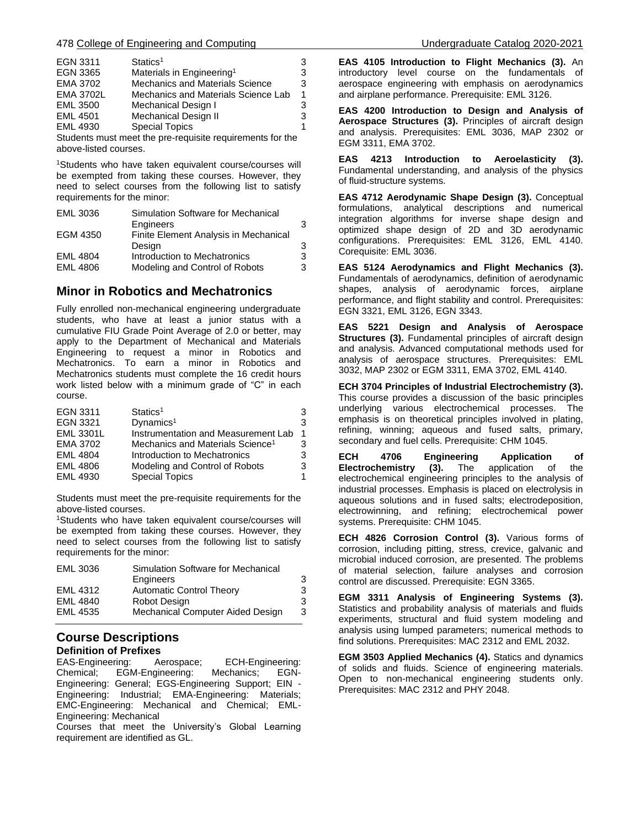| EGN 3311         | Statics <sup>1</sup>                   |   |
|------------------|----------------------------------------|---|
| EGN 3365         | Materials in Engineering <sup>1</sup>  | 3 |
| EMA 3702         | <b>Mechanics and Materials Science</b> | 3 |
| <b>EMA 3702L</b> | Mechanics and Materials Science Lab    | 1 |
| <b>EML 3500</b>  | Mechanical Design I                    | 3 |
| <b>EML 4501</b>  | <b>Mechanical Design II</b>            | 3 |
| EML 4930         | <b>Special Topics</b>                  |   |
| .                | $\sim$ $\sim$ $\sim$ $\sim$            |   |

Students must meet the pre-requisite requirements for the above-listed courses.

<sup>1</sup>Students who have taken equivalent course/courses will be exempted from taking these courses. However, they need to select courses from the following list to satisfy requirements for the minor:

| <b>EML 3036</b> | Simulation Software for Mechanical    |   |
|-----------------|---------------------------------------|---|
|                 | Engineers                             | 3 |
| EGM 4350        | Finite Element Analysis in Mechanical |   |
|                 | Design                                | 3 |
| <b>EML 4804</b> | Introduction to Mechatronics          | 3 |
| <b>EML 4806</b> | Modeling and Control of Robots        | 3 |

# **Minor in Robotics and Mechatronics**

Fully enrolled non-mechanical engineering undergraduate students, who have at least a junior status with a cumulative FIU Grade Point Average of 2.0 or better, may apply to the Department of Mechanical and Materials Engineering to request a minor in Robotics and Mechatronics. To earn a minor in Robotics and Mechatronics students must complete the 16 credit hours work listed below with a minimum grade of "C" in each course.

| EGN 3311         | Statics <sup>1</sup>                         | 3 |
|------------------|----------------------------------------------|---|
| EGN 3321         | Dynamics <sup>1</sup>                        | 3 |
| <b>EML 3301L</b> | Instrumentation and Measurement Lab          |   |
| EMA 3702         | Mechanics and Materials Science <sup>1</sup> | 3 |
| <b>EML 4804</b>  | Introduction to Mechatronics                 | 3 |
| <b>EML 4806</b>  | Modeling and Control of Robots               | 3 |
| EML 4930         | <b>Special Topics</b>                        |   |

Students must meet the pre-requisite requirements for the above-listed courses.

<sup>1</sup>Students who have taken equivalent course/courses will be exempted from taking these courses. However, they need to select courses from the following list to satisfy requirements for the minor:

| EML 3036        | Simulation Software for Mechanical |   |
|-----------------|------------------------------------|---|
|                 | Engineers                          | 3 |
| EML 4312        | <b>Automatic Control Theory</b>    | 3 |
| <b>EML 4840</b> | Robot Design                       | 3 |
| EML 4535        | Mechanical Computer Aided Design   | 3 |

# **Course Descriptions Definition of Prefixes**

EAS-Engineering: Aerospace; ECH-Engineering: Chemical; EGM-Engineering: Mechanics; EGN-Engineering: General; EGS-Engineering Support; EIN - Engineering: Industrial; EMA-Engineering: Materials; EMC-Engineering: Mechanical and Chemical; EML-Engineering: Mechanical

Courses that meet the University's Global Learning requirement are identified as GL.

**EAS 4105 Introduction to Flight Mechanics (3).** An introductory level course on the fundamentals of aerospace engineering with emphasis on aerodynamics and airplane performance. Prerequisite: EML 3126.

**EAS 4200 Introduction to Design and Analysis of Aerospace Structures (3).** Principles of aircraft design and analysis. Prerequisites: EML 3036, MAP 2302 or EGM 3311, EMA 3702.

**EAS 4213 Introduction to Aeroelasticity (3).** Fundamental understanding, and analysis of the physics of fluid-structure systems.

**EAS 4712 Aerodynamic Shape Design (3).** Conceptual formulations, analytical descriptions and numerical integration algorithms for inverse shape design and optimized shape design of 2D and 3D aerodynamic configurations. Prerequisites: EML 3126, EML 4140. Corequisite: EML 3036.

**EAS 5124 Aerodynamics and Flight Mechanics (3).** Fundamentals of aerodynamics, definition of aerodynamic shapes, analysis of aerodynamic forces, airplane performance, and flight stability and control. Prerequisites: EGN 3321, EML 3126, EGN 3343.

**EAS 5221 Design and Analysis of Aerospace Structures (3).** Fundamental principles of aircraft design and analysis. Advanced computational methods used for analysis of aerospace structures. Prerequisites: EML 3032, MAP 2302 or EGM 3311, EMA 3702, EML 4140.

**ECH 3704 Principles of Industrial Electrochemistry (3).** This course provides a discussion of the basic principles underlying various electrochemical processes. The emphasis is on theoretical principles involved in plating, refining, winning; aqueous and fused salts, primary, secondary and fuel cells. Prerequisite: CHM 1045.

**ECH 4706 Engineering Application of Electrochemistry (3).** The application of the electrochemical engineering principles to the analysis of industrial processes. Emphasis is placed on electrolysis in aqueous solutions and in fused salts; electrodeposition, electrowinning, and refining; electrochemical power systems. Prerequisite: CHM 1045.

**ECH 4826 Corrosion Control (3).** Various forms of corrosion, including pitting, stress, crevice, galvanic and microbial induced corrosion, are presented. The problems of material selection, failure analyses and corrosion control are discussed. Prerequisite: EGN 3365.

**EGM 3311 Analysis of Engineering Systems (3).** Statistics and probability analysis of materials and fluids experiments, structural and fluid system modeling and analysis using lumped parameters; numerical methods to find solutions. Prerequisites: MAC 2312 and EML 2032.

**EGM 3503 Applied Mechanics (4).** Statics and dynamics of solids and fluids. Science of engineering materials. Open to non-mechanical engineering students only. Prerequisites: MAC 2312 and PHY 2048.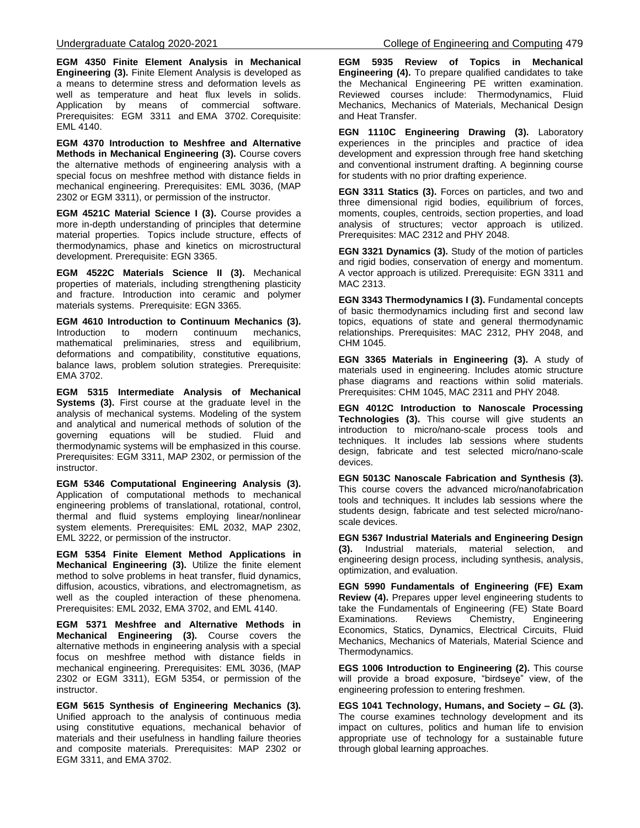**EGM 4350 Finite Element Analysis in Mechanical Engineering (3).** Finite Element Analysis is developed as a means to determine stress and deformation levels as well as temperature and heat flux levels in solids. Application by means of commercial software. Prerequisites: EGM 3311 and EMA 3702. Corequisite: EML 4140.

**EGM 4370 Introduction to Meshfree and Alternative Methods in Mechanical Engineering (3).** Course covers the alternative methods of engineering analysis with a special focus on meshfree method with distance fields in mechanical engineering. Prerequisites: EML 3036, (MAP 2302 or EGM 3311), or permission of the instructor.

**EGM 4521C Material Science I (3).** Course provides a more in-depth understanding of principles that determine material properties. Topics include structure, effects of thermodynamics, phase and kinetics on microstructural development. Prerequisite: EGN 3365.

**EGM 4522C Materials Science II (3).** Mechanical properties of materials, including strengthening plasticity and fracture. Introduction into ceramic and polymer materials systems. Prerequisite: EGN 3365.

**EGM 4610 Introduction to Continuum Mechanics (3).** Introduction to modern continuum mechanics, mathematical preliminaries, stress and equilibrium, deformations and compatibility, constitutive equations, balance laws, problem solution strategies. Prerequisite: EMA 3702.

**EGM 5315 Intermediate Analysis of Mechanical Systems (3).** First course at the graduate level in the analysis of mechanical systems. Modeling of the system and analytical and numerical methods of solution of the governing equations will be studied. Fluid and thermodynamic systems will be emphasized in this course. Prerequisites: EGM 3311, MAP 2302, or permission of the instructor.

**EGM 5346 Computational Engineering Analysis (3).** Application of computational methods to mechanical engineering problems of translational, rotational, control, thermal and fluid systems employing linear/nonlinear system elements. Prerequisites: EML 2032, MAP 2302, EML 3222, or permission of the instructor.

**EGM 5354 Finite Element Method Applications in Mechanical Engineering (3).** Utilize the finite element method to solve problems in heat transfer, fluid dynamics, diffusion, acoustics, vibrations, and electromagnetism, as well as the coupled interaction of these phenomena. Prerequisites: EML 2032, EMA 3702, and EML 4140.

**EGM 5371 Meshfree and Alternative Methods in Mechanical Engineering (3).** Course covers the alternative methods in engineering analysis with a special focus on meshfree method with distance fields in mechanical engineering. Prerequisites: EML 3036, (MAP 2302 or EGM 3311), EGM 5354, or permission of the instructor.

**EGM 5615 Synthesis of Engineering Mechanics (3).** Unified approach to the analysis of continuous media using constitutive equations, mechanical behavior of materials and their usefulness in handling failure theories and composite materials. Prerequisites: MAP 2302 or EGM 3311, and EMA 3702.

**EGM 5935 Review of Topics in Mechanical Engineering (4).** To prepare qualified candidates to take the Mechanical Engineering PE written examination. Reviewed courses include: Thermodynamics, Fluid Mechanics, Mechanics of Materials, Mechanical Design and Heat Transfer.

**EGN 1110C Engineering Drawing (3).** Laboratory experiences in the principles and practice of idea development and expression through free hand sketching and conventional instrument drafting. A beginning course for students with no prior drafting experience.

**EGN 3311 Statics (3).** Forces on particles, and two and three dimensional rigid bodies, equilibrium of forces, moments, couples, centroids, section properties, and load analysis of structures; vector approach is utilized. Prerequisites: MAC 2312 and PHY 2048.

**EGN 3321 Dynamics (3).** Study of the motion of particles and rigid bodies, conservation of energy and momentum. A vector approach is utilized. Prerequisite: EGN 3311 and MAC 2313.

**EGN 3343 Thermodynamics I (3).** Fundamental concepts of basic thermodynamics including first and second law topics, equations of state and general thermodynamic relationships. Prerequisites: MAC 2312, PHY 2048, and CHM 1045.

**EGN 3365 Materials in Engineering (3).** A study of materials used in engineering. Includes atomic structure phase diagrams and reactions within solid materials. Prerequisites: CHM 1045, MAC 2311 and PHY 2048.

**EGN 4012C Introduction to Nanoscale Processing Technologies (3).** This course will give students an introduction to micro/nano-scale process tools and techniques. It includes lab sessions where students design, fabricate and test selected micro/nano-scale devices.

**EGN 5013C Nanoscale Fabrication and Synthesis (3).** This course covers the advanced micro/nanofabrication tools and techniques. It includes lab sessions where the students design, fabricate and test selected micro/nanoscale devices.

**EGN 5367 Industrial Materials and Engineering Design (3).** Industrial materials, material selection, and engineering design process, including synthesis, analysis, optimization, and evaluation.

**EGN 5990 Fundamentals of Engineering (FE) Exam Review (4).** Prepares upper level engineering students to take the Fundamentals of Engineering (FE) State Board Examinations. Reviews Chemistry, Engineering Economics, Statics, Dynamics, Electrical Circuits, Fluid Mechanics, Mechanics of Materials, Material Science and Thermodynamics.

**EGS 1006 Introduction to Engineering (2).** This course will provide a broad exposure, "birdseye" view, of the engineering profession to entering freshmen.

**EGS 1041 Technology, Humans, and Society –** *GL* **(3).** The course examines technology development and its impact on cultures, politics and human life to envision appropriate use of technology for a sustainable future through global learning approaches.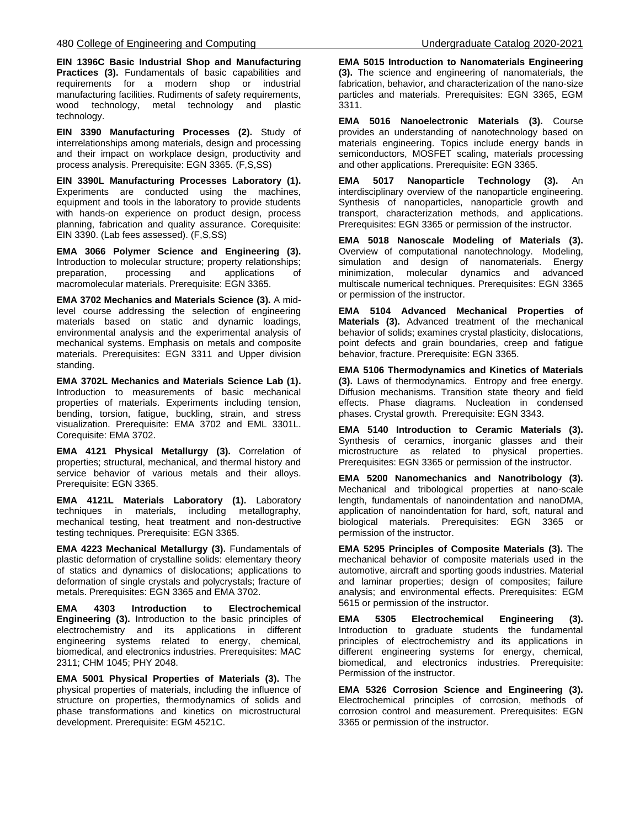**EIN 1396C Basic Industrial Shop and Manufacturing**  Practices (3). Fundamentals of basic capabilities and requirements for a modern shop or industrial manufacturing facilities. Rudiments of safety requirements, wood technology, metal technology and plastic technology.

**EIN 3390 Manufacturing Processes (2).** Study of interrelationships among materials, design and processing and their impact on workplace design, productivity and process analysis. Prerequisite: EGN 3365. (F,S,SS)

**EIN 3390L Manufacturing Processes Laboratory (1).**  Experiments are conducted using the machines, equipment and tools in the laboratory to provide students with hands-on experience on product design, process planning, fabrication and quality assurance. Corequisite: EIN 3390. (Lab fees assessed). (F,S,SS)

**EMA 3066 Polymer Science and Engineering (3).** Introduction to molecular structure; property relationships; preparation, processing and applications of macromolecular materials. Prerequisite: EGN 3365.

**EMA 3702 Mechanics and Materials Science (3).** A midlevel course addressing the selection of engineering materials based on static and dynamic loadings, environmental analysis and the experimental analysis of mechanical systems. Emphasis on metals and composite materials. Prerequisites: EGN 3311 and Upper division standing.

**EMA 3702L Mechanics and Materials Science Lab (1).**  Introduction to measurements of basic mechanical properties of materials. Experiments including tension, bending, torsion, fatigue, buckling, strain, and stress visualization. Prerequisite: EMA 3702 and EML 3301L. Corequisite: EMA 3702.

**EMA 4121 Physical Metallurgy (3).** Correlation of properties; structural, mechanical, and thermal history and service behavior of various metals and their alloys. Prerequisite: EGN 3365.

**EMA 4121L Materials Laboratory (1).** Laboratory techniques in materials, including metallography, mechanical testing, heat treatment and non-destructive testing techniques. Prerequisite: EGN 3365.

**EMA 4223 Mechanical Metallurgy (3).** Fundamentals of plastic deformation of crystalline solids: elementary theory of statics and dynamics of dislocations; applications to deformation of single crystals and polycrystals; fracture of metals. Prerequisites: EGN 3365 and EMA 3702.

**EMA 4303 Introduction to Electrochemical Engineering (3).** Introduction to the basic principles of electrochemistry and its applications in different engineering systems related to energy, chemical, biomedical, and electronics industries. Prerequisites: MAC 2311; CHM 1045; PHY 2048.

**EMA 5001 Physical Properties of Materials (3).** The physical properties of materials, including the influence of structure on properties, thermodynamics of solids and phase transformations and kinetics on microstructural development. Prerequisite: EGM 4521C.

**EMA 5015 Introduction to Nanomaterials Engineering (3).** The science and engineering of nanomaterials, the fabrication, behavior, and characterization of the nano-size particles and materials. Prerequisites: EGN 3365, EGM 3311.

**EMA 5016 Nanoelectronic Materials (3).** Course provides an understanding of nanotechnology based on materials engineering. Topics include energy bands in semiconductors, MOSFET scaling, materials processing and other applications. Prerequisite: EGN 3365.

**EMA 5017 Nanoparticle Technology (3).** An interdisciplinary overview of the nanoparticle engineering. Synthesis of nanoparticles, nanoparticle growth and transport, characterization methods, and applications. Prerequisites: EGN 3365 or permission of the instructor.

**EMA 5018 Nanoscale Modeling of Materials (3).** Overview of computational nanotechnology. Modeling, simulation and design of nanomaterials. Energy minimization, molecular dynamics and advanced multiscale numerical techniques. Prerequisites: EGN 3365 or permission of the instructor.

**EMA 5104 Advanced Mechanical Properties of Materials (3).** Advanced treatment of the mechanical behavior of solids; examines crystal plasticity, dislocations, point defects and grain boundaries, creep and fatigue behavior, fracture. Prerequisite: EGN 3365.

**EMA 5106 Thermodynamics and Kinetics of Materials (3).** Laws of thermodynamics. Entropy and free energy. Diffusion mechanisms. Transition state theory and field effects. Phase diagrams. Nucleation in condensed phases. Crystal growth. Prerequisite: EGN 3343.

**EMA 5140 Introduction to Ceramic Materials (3).** Synthesis of ceramics, inorganic glasses and their microstructure as related to physical properties. Prerequisites: EGN 3365 or permission of the instructor.

**EMA 5200 Nanomechanics and Nanotribology (3).** Mechanical and tribological properties at nano-scale length, fundamentals of nanoindentation and nanoDMA, application of nanoindentation for hard, soft, natural and biological materials. Prerequisites: EGN 3365 or permission of the instructor.

**EMA 5295 Principles of Composite Materials (3).** The mechanical behavior of composite materials used in the automotive, aircraft and sporting goods industries. Material and laminar properties; design of composites; failure analysis; and environmental effects. Prerequisites: EGM 5615 or permission of the instructor.

**EMA 5305 Electrochemical Engineering (3).** Introduction to graduate students the fundamental principles of electrochemistry and its applications in different engineering systems for energy, chemical, biomedical, and electronics industries. Prerequisite: Permission of the instructor.

**EMA 5326 Corrosion Science and Engineering (3).** Electrochemical principles of corrosion, methods of corrosion control and measurement. Prerequisites: EGN 3365 or permission of the instructor.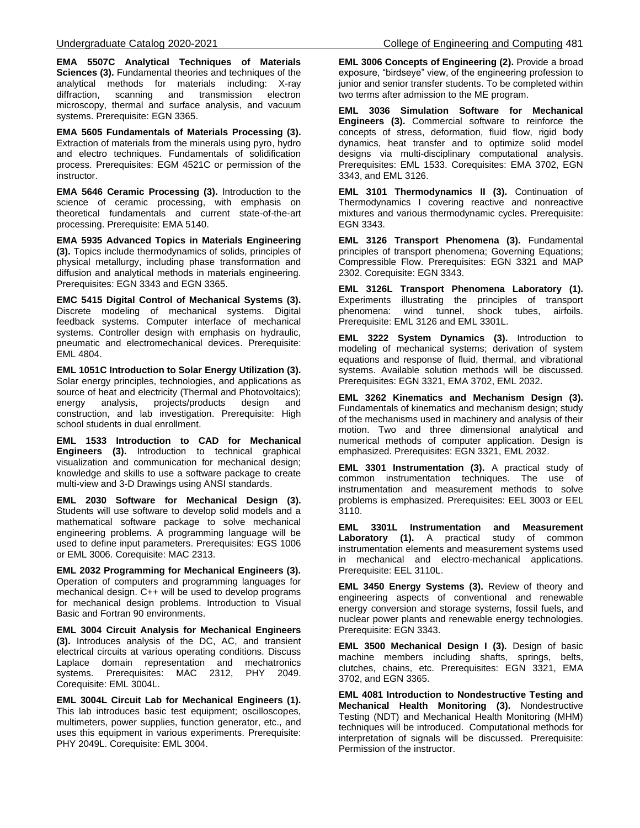**EMA 5507C Analytical Techniques of Materials Sciences (3).** Fundamental theories and techniques of the analytical methods for materials including: X-ray diffraction, scanning and transmission electron microscopy, thermal and surface analysis, and vacuum systems. Prerequisite: EGN 3365.

**EMA 5605 Fundamentals of Materials Processing (3).** Extraction of materials from the minerals using pyro, hydro and electro techniques. Fundamentals of solidification process. Prerequisites: EGM 4521C or permission of the instructor.

**EMA 5646 Ceramic Processing (3).** Introduction to the science of ceramic processing, with emphasis on theoretical fundamentals and current state-of-the-art processing. Prerequisite: EMA 5140.

**EMA 5935 Advanced Topics in Materials Engineering (3).** Topics include thermodynamics of solids, principles of physical metallurgy, including phase transformation and diffusion and analytical methods in materials engineering. Prerequisites: EGN 3343 and EGN 3365.

**EMC 5415 Digital Control of Mechanical Systems (3).**  Discrete modeling of mechanical systems. Digital feedback systems. Computer interface of mechanical systems. Controller design with emphasis on hydraulic, pneumatic and electromechanical devices. Prerequisite: EML 4804.

**EML 1051C Introduction to Solar Energy Utilization (3).** Solar energy principles, technologies, and applications as source of heat and electricity (Thermal and Photovoltaics); energy analysis, projects/products design and construction, and lab investigation. Prerequisite: High school students in dual enrollment.

**EML 1533 Introduction to CAD for Mechanical Engineers (3).** Introduction to technical graphical visualization and communication for mechanical design; knowledge and skills to use a software package to create multi-view and 3-D Drawings using ANSI standards.

**EML 2030 Software for Mechanical Design (3).** Students will use software to develop solid models and a mathematical software package to solve mechanical engineering problems. A programming language will be used to define input parameters. Prerequisites: EGS 1006 or EML 3006. Corequisite: MAC 2313.

**EML 2032 Programming for Mechanical Engineers (3).** Operation of computers and programming languages for mechanical design. C++ will be used to develop programs for mechanical design problems. Introduction to Visual Basic and Fortran 90 environments.

**EML 3004 Circuit Analysis for Mechanical Engineers (3).** Introduces analysis of the DC, AC, and transient electrical circuits at various operating conditions. Discuss Laplace domain representation and mechatronics systems. Prerequisites: MAC 2312, PHY 2049. Corequisite: EML 3004L.

**EML 3004L Circuit Lab for Mechanical Engineers (1).** This lab introduces basic test equipment; oscilloscopes, multimeters, power supplies, function generator, etc., and uses this equipment in various experiments. Prerequisite: PHY 2049L. Corequisite: EML 3004.

**EML 3006 Concepts of Engineering (2).** Provide a broad exposure, "birdseye" view, of the engineering profession to junior and senior transfer students. To be completed within two terms after admission to the ME program.

**EML 3036 Simulation Software for Mechanical Engineers (3).** Commercial software to reinforce the concepts of stress, deformation, fluid flow, rigid body dynamics, heat transfer and to optimize solid model designs via multi-disciplinary computational analysis. Prerequisites: EML 1533. Corequisites: EMA 3702, EGN 3343, and EML 3126.

**EML 3101 Thermodynamics II (3).** Continuation of Thermodynamics I covering reactive and nonreactive mixtures and various thermodynamic cycles. Prerequisite: EGN 3343.

**EML 3126 Transport Phenomena (3).** Fundamental principles of transport phenomena; Governing Equations; Compressible Flow. Prerequisites: EGN 3321 and MAP 2302. Corequisite: EGN 3343.

**EML 3126L Transport Phenomena Laboratory (1).** Experiments illustrating the principles of transport phenomena: wind tunnel, shock tubes, airfoils. Prerequisite: EML 3126 and EML 3301L.

**EML 3222 System Dynamics (3).** Introduction to modeling of mechanical systems; derivation of system equations and response of fluid, thermal, and vibrational systems. Available solution methods will be discussed. Prerequisites: EGN 3321, EMA 3702, EML 2032.

**EML 3262 Kinematics and Mechanism Design (3).** Fundamentals of kinematics and mechanism design; study of the mechanisms used in machinery and analysis of their motion. Two and three dimensional analytical and numerical methods of computer application. Design is emphasized. Prerequisites: EGN 3321, EML 2032.

**EML 3301 Instrumentation (3).** A practical study of common instrumentation techniques. The use of instrumentation and measurement methods to solve problems is emphasized. Prerequisites: EEL 3003 or EEL 3110.

**EML 3301L Instrumentation and Measurement Laboratory (1).** A practical study of common instrumentation elements and measurement systems used in mechanical and electro-mechanical applications. Prerequisite: EEL 3110L.

**EML 3450 Energy Systems (3).** Review of theory and engineering aspects of conventional and renewable energy conversion and storage systems, fossil fuels, and nuclear power plants and renewable energy technologies. Prerequisite: EGN 3343.

**EML 3500 Mechanical Design I (3).** Design of basic machine members including shafts, springs, belts, clutches, chains, etc. Prerequisites: EGN 3321, EMA 3702, and EGN 3365.

**EML 4081 Introduction to Nondestructive Testing and Mechanical Health Monitoring (3).** Nondestructive Testing (NDT) and Mechanical Health Monitoring (MHM) techniques will be introduced. Computational methods for interpretation of signals will be discussed. Prerequisite: Permission of the instructor.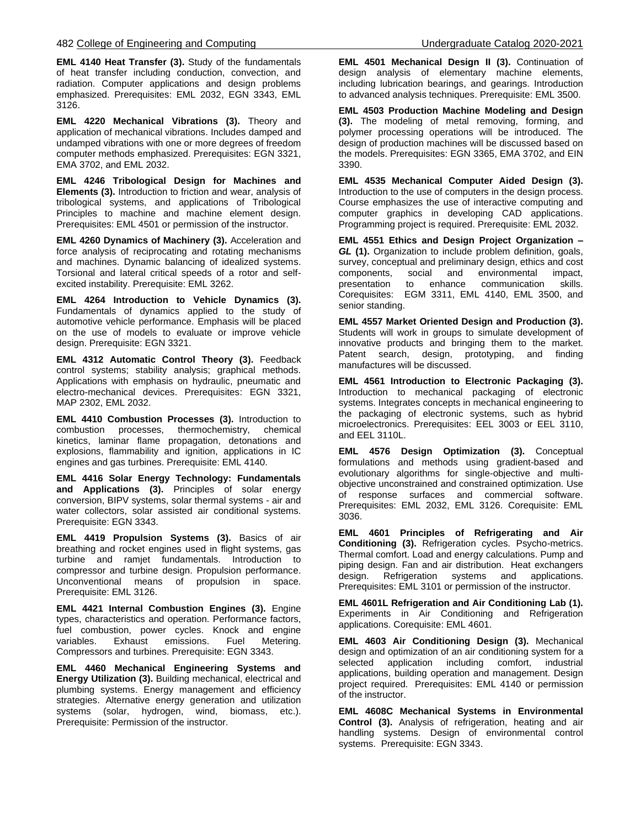**EML 4140 Heat Transfer (3).** Study of the fundamentals of heat transfer including conduction, convection, and radiation. Computer applications and design problems emphasized. Prerequisites: EML 2032, EGN 3343, EML 3126.

**EML 4220 Mechanical Vibrations (3).** Theory and application of mechanical vibrations. Includes damped and undamped vibrations with one or more degrees of freedom computer methods emphasized. Prerequisites: EGN 3321, EMA 3702, and EML 2032.

**EML 4246 Tribological Design for Machines and Elements (3).** Introduction to friction and wear, analysis of tribological systems, and applications of Tribological Principles to machine and machine element design. Prerequisites: EML 4501 or permission of the instructor.

**EML 4260 Dynamics of Machinery (3).** Acceleration and force analysis of reciprocating and rotating mechanisms and machines. Dynamic balancing of idealized systems. Torsional and lateral critical speeds of a rotor and selfexcited instability. Prerequisite: EML 3262.

**EML 4264 Introduction to Vehicle Dynamics (3).** Fundamentals of dynamics applied to the study of automotive vehicle performance. Emphasis will be placed on the use of models to evaluate or improve vehicle design. Prerequisite: EGN 3321.

**EML 4312 Automatic Control Theory (3).** Feedback control systems; stability analysis; graphical methods. Applications with emphasis on hydraulic, pneumatic and electro-mechanical devices. Prerequisites: EGN 3321, MAP 2302, EML 2032.

**EML 4410 Combustion Processes (3).** Introduction to combustion processes, thermochemistry, chemical kinetics, laminar flame propagation, detonations and explosions, flammability and ignition, applications in IC engines and gas turbines. Prerequisite: EML 4140.

**EML 4416 Solar Energy Technology: Fundamentals and Applications (3).** Principles of solar energy conversion, BIPV systems, solar thermal systems - air and water collectors, solar assisted air conditional systems. Prerequisite: EGN 3343.

**EML 4419 Propulsion Systems (3).** Basics of air breathing and rocket engines used in flight systems, gas turbine and ramjet fundamentals. Introduction to compressor and turbine design. Propulsion performance. Unconventional means of propulsion in space. Prerequisite: EML 3126.

**EML 4421 Internal Combustion Engines (3).** Engine types, characteristics and operation. Performance factors, fuel combustion, power cycles. Knock and engine variables. Exhaust emissions. Fuel Metering. Compressors and turbines. Prerequisite: EGN 3343.

**EML 4460 Mechanical Engineering Systems and Energy Utilization (3).** Building mechanical, electrical and plumbing systems. Energy management and efficiency strategies. Alternative energy generation and utilization systems (solar, hydrogen, wind, biomass, etc.). Prerequisite: Permission of the instructor.

**EML 4501 Mechanical Design II (3).** Continuation of design analysis of elementary machine elements, including lubrication bearings, and gearings. Introduction to advanced analysis techniques. Prerequisite: EML 3500.

**EML 4503 Production Machine Modeling and Design (3).** The modeling of metal removing, forming, and polymer processing operations will be introduced. The design of production machines will be discussed based on the models. Prerequisites: EGN 3365, EMA 3702, and EIN 3390.

**EML 4535 Mechanical Computer Aided Design (3).** Introduction to the use of computers in the design process. Course emphasizes the use of interactive computing and computer graphics in developing CAD applications. Programming project is required. Prerequisite: EML 2032.

**EML 4551 Ethics and Design Project Organization –** *GL* **(1).** Organization to include problem definition, goals, survey, conceptual and preliminary design, ethics and cost components, social and environmental impact, presentation to enhance communication skills. Corequisites: EGM 3311, EML 4140, EML 3500, and senior standing.

**EML 4557 Market Oriented Design and Production (3).** Students will work in groups to simulate development of innovative products and bringing them to the market. Patent search, design, prototyping, and finding manufactures will be discussed.

**EML 4561 Introduction to Electronic Packaging (3).** Introduction to mechanical packaging of electronic systems. Integrates concepts in mechanical engineering to the packaging of electronic systems, such as hybrid microelectronics. Prerequisites: EEL 3003 or EEL 3110, and EEL 3110L.

**EML 4576 Design Optimization (3).** Conceptual formulations and methods using gradient-based and evolutionary algorithms for single-objective and multiobjective unconstrained and constrained optimization. Use of response surfaces and commercial software. Prerequisites: EML 2032, EML 3126. Corequisite: EML 3036.

**EML 4601 Principles of Refrigerating and Air Conditioning (3).** Refrigeration cycles. Psycho-metrics. Thermal comfort. Load and energy calculations. Pump and piping design. Fan and air distribution. Heat exchangers design. Refrigeration systems and applications. Prerequisites: EML 3101 or permission of the instructor.

**EML 4601L Refrigeration and Air Conditioning Lab (1).** Experiments in Air Conditioning and Refrigeration applications. Corequisite: EML 4601.

**EML 4603 Air Conditioning Design (3).** Mechanical design and optimization of an air conditioning system for a selected application including comfort, industrial applications, building operation and management. Design project required. Prerequisites: EML 4140 or permission of the instructor.

**EML 4608C Mechanical Systems in Environmental Control (3).** Analysis of refrigeration, heating and air handling systems. Design of environmental control systems. Prerequisite: EGN 3343.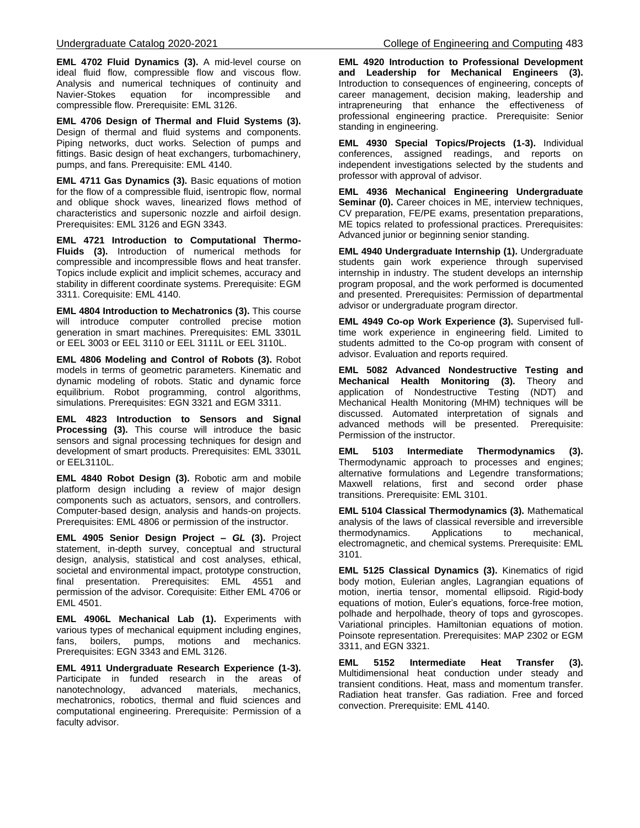**EML 4702 Fluid Dynamics (3).** A mid-level course on ideal fluid flow, compressible flow and viscous flow. Analysis and numerical techniques of continuity and Navier-Stokes equation for incompressible and compressible flow. Prerequisite: EML 3126.

**EML 4706 Design of Thermal and Fluid Systems (3).** Design of thermal and fluid systems and components. Piping networks, duct works. Selection of pumps and fittings. Basic design of heat exchangers, turbomachinery, pumps, and fans. Prerequisite: EML 4140.

**EML 4711 Gas Dynamics (3).** Basic equations of motion for the flow of a compressible fluid, isentropic flow, normal and oblique shock waves, linearized flows method of characteristics and supersonic nozzle and airfoil design. Prerequisites: EML 3126 and EGN 3343.

**EML 4721 Introduction to Computational Thermo-Fluids (3).** Introduction of numerical methods for compressible and incompressible flows and heat transfer. Topics include explicit and implicit schemes, accuracy and stability in different coordinate systems. Prerequisite: EGM 3311. Corequisite: EML 4140.

**EML 4804 Introduction to Mechatronics (3).** This course will introduce computer controlled precise motion generation in smart machines. Prerequisites: EML 3301L or EEL 3003 or EEL 3110 or EEL 3111L or EEL 3110L.

**EML 4806 Modeling and Control of Robots (3).** Robot models in terms of geometric parameters. Kinematic and dynamic modeling of robots. Static and dynamic force equilibrium. Robot programming, control algorithms, simulations. Prerequisites: EGN 3321 and EGM 3311.

**EML 4823 Introduction to Sensors and Signal Processing (3).** This course will introduce the basic sensors and signal processing techniques for design and development of smart products. Prerequisites: EML 3301L or EEL3110L.

**EML 4840 Robot Design (3).** Robotic arm and mobile platform design including a review of major design components such as actuators, sensors, and controllers. Computer-based design, analysis and hands-on projects. Prerequisites: EML 4806 or permission of the instructor.

**EML 4905 Senior Design Project –** *GL* **(3).** Project statement, in-depth survey, conceptual and structural design, analysis, statistical and cost analyses, ethical, societal and environmental impact, prototype construction, final presentation. Prerequisites: EML 4551 and permission of the advisor. Corequisite: Either EML 4706 or EML 4501.

**EML 4906L Mechanical Lab (1).** Experiments with various types of mechanical equipment including engines, fans, boilers, pumps, motions and mechanics. Prerequisites: EGN 3343 and EML 3126.

**EML 4911 Undergraduate Research Experience (1-3).** Participate in funded research in the areas of nanotechnology, advanced materials, mechanics, mechatronics, robotics, thermal and fluid sciences and computational engineering. Prerequisite: Permission of a faculty advisor.

**EML 4920 Introduction to Professional Development and Leadership for Mechanical Engineers (3).** Introduction to consequences of engineering, concepts of career management, decision making, leadership and intrapreneuring that enhance the effectiveness of professional engineering practice. Prerequisite: Senior standing in engineering.

**EML 4930 Special Topics/Projects (1-3).** Individual conferences, assigned readings, and reports on independent investigations selected by the students and professor with approval of advisor.

**EML 4936 Mechanical Engineering Undergraduate Seminar (0).** Career choices in ME, interview techniques, CV preparation, FE/PE exams, presentation preparations, ME topics related to professional practices. Prerequisites: Advanced junior or beginning senior standing.

**EML 4940 Undergraduate Internship (1).** Undergraduate students gain work experience through supervised internship in industry. The student develops an internship program proposal, and the work performed is documented and presented. Prerequisites: Permission of departmental advisor or undergraduate program director.

**EML 4949 Co-op Work Experience (3).** Supervised fulltime work experience in engineering field. Limited to students admitted to the Co-op program with consent of advisor. Evaluation and reports required.

**EML 5082 Advanced Nondestructive Testing and Mechanical Health Monitoring (3).** Theory and application of Nondestructive Testing (NDT) and Mechanical Health Monitoring (MHM) techniques will be discussed. Automated interpretation of signals and advanced methods will be presented. Prerequisite: Permission of the instructor.

**EML 5103 Intermediate Thermodynamics (3).**  Thermodynamic approach to processes and engines; alternative formulations and Legendre transformations; Maxwell relations, first and second order phase transitions. Prerequisite: EML 3101.

**EML 5104 Classical Thermodynamics (3).** Mathematical analysis of the laws of classical reversible and irreversible thermodynamics. Applications to mechanical, electromagnetic, and chemical systems. Prerequisite: EML 3101.

**EML 5125 Classical Dynamics (3).** Kinematics of rigid body motion, Eulerian angles, Lagrangian equations of motion, inertia tensor, momental ellipsoid. Rigid-body equations of motion, Euler's equations, force-free motion, polhade and herpolhade, theory of tops and gyroscopes. Variational principles. Hamiltonian equations of motion. Poinsote representation. Prerequisites: MAP 2302 or EGM 3311, and EGN 3321.

**EML 5152 Intermediate Heat Transfer (3).**  Multidimensional heat conduction under steady and transient conditions. Heat, mass and momentum transfer. Radiation heat transfer. Gas radiation. Free and forced convection. Prerequisite: EML 4140.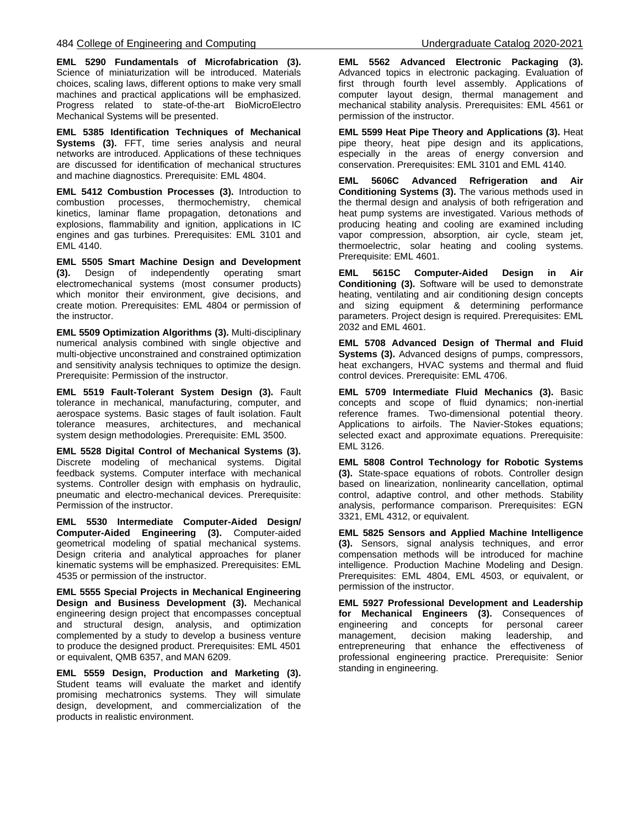**EML 5290 Fundamentals of Microfabrication (3).**  Science of miniaturization will be introduced. Materials choices, scaling laws, different options to make very small machines and practical applications will be emphasized. Progress related to state-of-the-art BioMicroElectro Mechanical Systems will be presented.

**EML 5385 Identification Techniques of Mechanical Systems (3).** FFT, time series analysis and neural networks are introduced. Applications of these techniques are discussed for identification of mechanical structures and machine diagnostics. Prerequisite: EML 4804.

**EML 5412 Combustion Processes (3).** Introduction to combustion processes, thermochemistry, chemical kinetics, laminar flame propagation, detonations and explosions, flammability and ignition, applications in IC engines and gas turbines. Prerequisites: EML 3101 and EML 4140.

**EML 5505 Smart Machine Design and Development (3).** Design of independently operating smart electromechanical systems (most consumer products) which monitor their environment, give decisions, and create motion. Prerequisites: EML 4804 or permission of the instructor.

**EML 5509 Optimization Algorithms (3).** Multi-disciplinary numerical analysis combined with single objective and multi-objective unconstrained and constrained optimization and sensitivity analysis techniques to optimize the design. Prerequisite: Permission of the instructor.

**EML 5519 Fault-Tolerant System Design (3).** Fault tolerance in mechanical, manufacturing, computer, and aerospace systems. Basic stages of fault isolation. Fault tolerance measures, architectures, and mechanical system design methodologies. Prerequisite: EML 3500.

**EML 5528 Digital Control of Mechanical Systems (3).** Discrete modeling of mechanical systems. Digital feedback systems. Computer interface with mechanical systems. Controller design with emphasis on hydraulic, pneumatic and electro-mechanical devices. Prerequisite: Permission of the instructor.

**EML 5530 Intermediate Computer-Aided Design/ Computer-Aided Engineering (3).** Computer-aided geometrical modeling of spatial mechanical systems. Design criteria and analytical approaches for planer kinematic systems will be emphasized. Prerequisites: EML 4535 or permission of the instructor.

**EML 5555 Special Projects in Mechanical Engineering Design and Business Development (3).** Mechanical engineering design project that encompasses conceptual and structural design, analysis, and optimization complemented by a study to develop a business venture to produce the designed product. Prerequisites: EML 4501 or equivalent, QMB 6357, and MAN 6209.

**EML 5559 Design, Production and Marketing (3).** Student teams will evaluate the market and identify promising mechatronics systems. They will simulate design, development, and commercialization of the products in realistic environment.

**EML 5562 Advanced Electronic Packaging (3).** Advanced topics in electronic packaging. Evaluation of first through fourth level assembly. Applications of computer layout design, thermal management and mechanical stability analysis. Prerequisites: EML 4561 or permission of the instructor.

**EML 5599 Heat Pipe Theory and Applications (3).** Heat pipe theory, heat pipe design and its applications, especially in the areas of energy conversion and conservation. Prerequisites: EML 3101 and EML 4140.

**EML 5606C Advanced Refrigeration and Air Conditioning Systems (3).** The various methods used in the thermal design and analysis of both refrigeration and heat pump systems are investigated. Various methods of producing heating and cooling are examined including vapor compression, absorption, air cycle, steam jet, thermoelectric, solar heating and cooling systems. Prerequisite: EML 4601.

**EML 5615C Computer-Aided Design in Air Conditioning (3).** Software will be used to demonstrate heating, ventilating and air conditioning design concepts and sizing equipment & determining performance parameters. Project design is required. Prerequisites: EML 2032 and EML 4601.

**EML 5708 Advanced Design of Thermal and Fluid Systems (3).** Advanced designs of pumps, compressors, heat exchangers, HVAC systems and thermal and fluid control devices. Prerequisite: EML 4706.

**EML 5709 Intermediate Fluid Mechanics (3).** Basic concepts and scope of fluid dynamics; non-inertial reference frames. Two-dimensional potential theory. Applications to airfoils. The Navier-Stokes equations; selected exact and approximate equations. Prerequisite: EML 3126.

**EML 5808 Control Technology for Robotic Systems (3).** State-space equations of robots. Controller design based on linearization, nonlinearity cancellation, optimal control, adaptive control, and other methods. Stability analysis, performance comparison. Prerequisites: EGN 3321, EML 4312, or equivalent.

**EML 5825 Sensors and Applied Machine Intelligence (3).** Sensors, signal analysis techniques, and error compensation methods will be introduced for machine intelligence. Production Machine Modeling and Design. Prerequisites: EML 4804, EML 4503, or equivalent, or permission of the instructor.

**EML 5927 Professional Development and Leadership for Mechanical Engineers (3).** Consequences of engineering and concepts for personal career management, decision making leadership, and entrepreneuring that enhance the effectiveness of professional engineering practice. Prerequisite: Senior standing in engineering.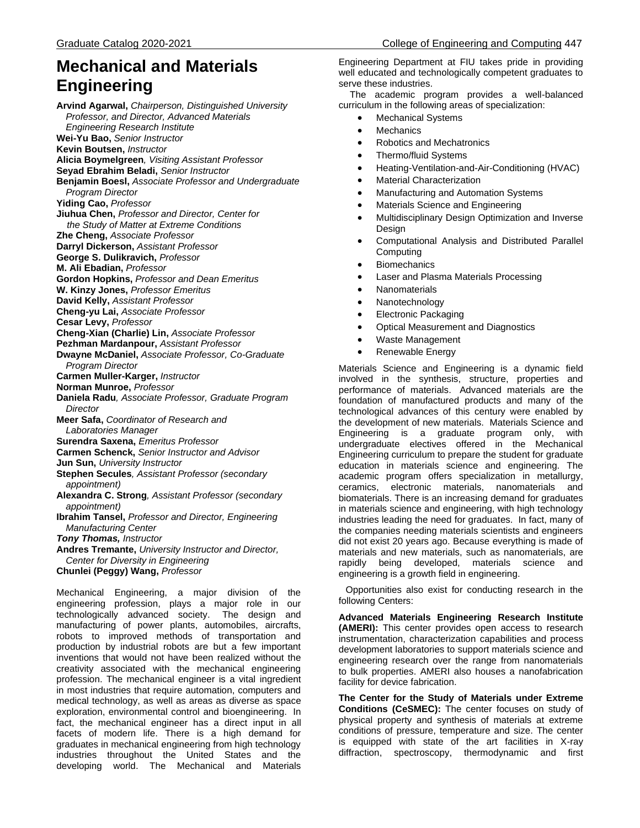# **Mechanical and Materials Engineering**

**Arvind Agarwal,** *Chairperson, Distinguished University Professor, and Director, Advanced Materials Engineering Research Institute* **Wei-Yu Bao,** *Senior Instructor* **Kevin Boutsen,** *Instructor* **Alicia Boymelgreen***, Visiting Assistant Professor* **Seyad Ebrahim Beladi,** *Senior Instructor* **Benjamin Boesl,** *Associate Professor and Undergraduate Program Director* **Yiding Cao,** *Professor* **Jiuhua Chen,** *Professor and Director, Center for the Study of Matter at Extreme Conditions* **Zhe Cheng,** *Associate Professor*  **Darryl Dickerson,** *Assistant Professor* **George S. Dulikravich,** *Professor* **M. Ali Ebadian,** *Professor* **Gordon Hopkins,** *Professor and Dean Emeritus* **W. Kinzy Jones,** *Professor Emeritus* **David Kelly,** *Assistant Professor* **Cheng-yu Lai,** *Associate Professor* **Cesar Levy,** *Professor* **Cheng-Xian (Charlie) Lin,** *Associate Professor* **Pezhman Mardanpour,** *Assistant Professor* **Dwayne McDaniel,** *Associate Professor, Co-Graduate Program Director* **Carmen Muller-Karger,** *Instructor* **Norman Munroe,** *Professor* **Daniela Radu***, Associate Professor, Graduate Program Director* **Meer Safa,** *Coordinator of Research and Laboratories Manager* **Surendra Saxena,** *Emeritus Professor*  **Carmen Schenck,** *Senior Instructor and Advisor* **Jun Sun,** *University Instructor* **Stephen Secules***, Assistant Professor (secondary appointment)* **Alexandra C. Strong***, Assistant Professor (secondary appointment)* **Ibrahim Tansel,** *Professor and Director, Engineering Manufacturing Center Tony Thomas, Instructor* **Andres Tremante,** *University Instructor and Director, Center for Diversity in Engineering*

**Chunlei (Peggy) Wang,** *Professor*

Mechanical Engineering, a major division of the engineering profession, plays a major role in our technologically advanced society. The design and manufacturing of power plants, automobiles, aircrafts, robots to improved methods of transportation and production by industrial robots are but a few important inventions that would not have been realized without the creativity associated with the mechanical engineering profession. The mechanical engineer is a vital ingredient in most industries that require automation, computers and medical technology, as well as areas as diverse as space exploration, environmental control and bioengineering. In fact, the mechanical engineer has a direct input in all facets of modern life. There is a high demand for graduates in mechanical engineering from high technology industries throughout the United States and the developing world. The Mechanical and Materials

Engineering Department at FIU takes pride in providing well educated and technologically competent graduates to serve these industries.

The academic program provides a well-balanced curriculum in the following areas of specialization:

- Mechanical Systems
- **Mechanics**
- Robotics and Mechatronics
- Thermo/fluid Systems
- Heating-Ventilation-and-Air-Conditioning (HVAC)
- Material Characterization
- Manufacturing and Automation Systems
- Materials Science and Engineering
- Multidisciplinary Design Optimization and Inverse Design
- Computational Analysis and Distributed Parallel Computing
- **Biomechanics**
- Laser and Plasma Materials Processing
- Nanomaterials
- Nanotechnology
- Electronic Packaging
- Optical Measurement and Diagnostics
- Waste Management
- Renewable Energy

Materials Science and Engineering is a dynamic field involved in the synthesis, structure, properties and performance of materials. Advanced materials are the foundation of manufactured products and many of the technological advances of this century were enabled by the development of new materials. Materials Science and Engineering is a graduate program only, with undergraduate electives offered in the Mechanical Engineering curriculum to prepare the student for graduate education in materials science and engineering. The academic program offers specialization in metallurgy, ceramics, electronic materials, nanomaterials and biomaterials. There is an increasing demand for graduates in materials science and engineering, with high technology industries leading the need for graduates. In fact, many of the companies needing materials scientists and engineers did not exist 20 years ago. Because everything is made of materials and new materials, such as nanomaterials, are rapidly being developed, materials science and engineering is a growth field in engineering.

Opportunities also exist for conducting research in the following Centers:

**Advanced Materials Engineering Research Institute (AMERI):** This center provides open access to research instrumentation, characterization capabilities and process development laboratories to support materials science and engineering research over the range from nanomaterials to bulk properties. AMERI also houses a nanofabrication facility for device fabrication.

**The Center for the Study of Materials under Extreme Conditions (CeSMEC):** The center focuses on study of physical property and synthesis of materials at extreme conditions of pressure, temperature and size. The center is equipped with state of the art facilities in X-ray diffraction, spectroscopy, thermodynamic and first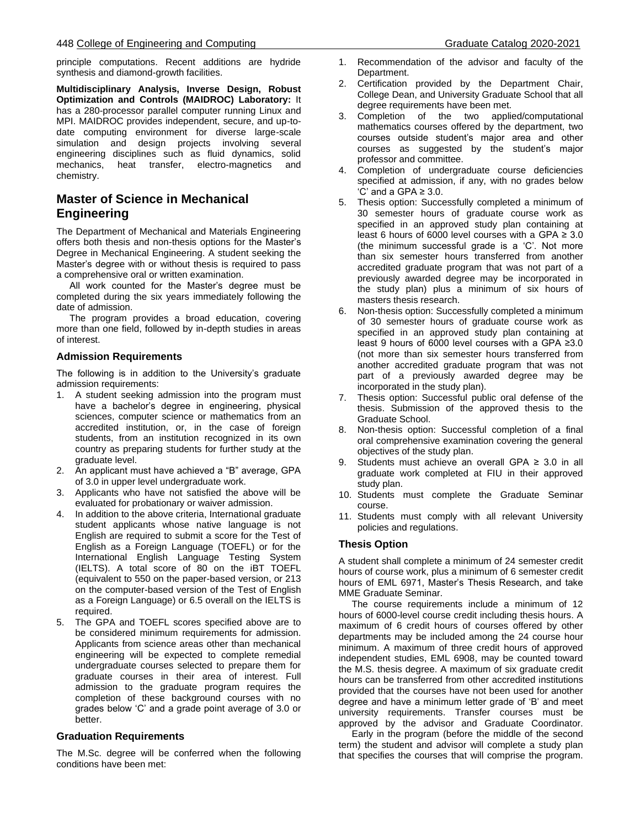principle computations. Recent additions are hydride synthesis and diamond-growth facilities.

**Multidisciplinary Analysis, Inverse Design, Robust Optimization and Controls (MAIDROC) Laboratory:** It has a 280-processor parallel computer running Linux and MPI. MAIDROC provides independent, secure, and up-todate computing environment for diverse large-scale simulation and design projects involving several engineering disciplines such as fluid dynamics, solid mechanics, heat transfer, electro-magnetics and chemistry.

# **Master of Science in Mechanical Engineering**

The Department of Mechanical and Materials Engineering offers both thesis and non-thesis options for the Master's Degree in Mechanical Engineering. A student seeking the Master's degree with or without thesis is required to pass a comprehensive oral or written examination.

 All work counted for the Master's degree must be completed during the six years immediately following the date of admission.

 The program provides a broad education, covering more than one field, followed by in-depth studies in areas of interest.

# **Admission Requirements**

The following is in addition to the University's graduate admission requirements:

- 1. A student seeking admission into the program must have a bachelor's degree in engineering, physical sciences, computer science or mathematics from an accredited institution, or, in the case of foreign students, from an institution recognized in its own country as preparing students for further study at the graduate level.
- 2. An applicant must have achieved a "B" average, GPA of 3.0 in upper level undergraduate work.
- 3. Applicants who have not satisfied the above will be evaluated for probationary or waiver admission.
- 4. In addition to the above criteria, International graduate student applicants whose native language is not English are required to submit a score for the Test of English as a Foreign Language (TOEFL) or for the International English Language Testing System (IELTS). A total score of 80 on the iBT TOEFL (equivalent to 550 on the paper-based version, or 213 on the computer-based version of the Test of English as a Foreign Language) or 6.5 overall on the IELTS is required.
- 5. The GPA and TOEFL scores specified above are to be considered minimum requirements for admission. Applicants from science areas other than mechanical engineering will be expected to complete remedial undergraduate courses selected to prepare them for graduate courses in their area of interest. Full admission to the graduate program requires the completion of these background courses with no grades below 'C' and a grade point average of 3.0 or better.

# **Graduation Requirements**

The M.Sc. degree will be conferred when the following conditions have been met:

- 1. Recommendation of the advisor and faculty of the Department.
- 2. Certification provided by the Department Chair, College Dean, and University Graduate School that all degree requirements have been met.
- 3. Completion of the two applied/computational mathematics courses offered by the department, two courses outside student's major area and other courses as suggested by the student's major professor and committee.
- 4. Completion of undergraduate course deficiencies specified at admission, if any, with no grades below  $^{\circ}$ C' and a GPA  $\geq$  3.0.
- 5. Thesis option: Successfully completed a minimum of 30 semester hours of graduate course work as specified in an approved study plan containing at least 6 hours of 6000 level courses with a GPA  $\geq 3.0$ (the minimum successful grade is a 'C'. Not more than six semester hours transferred from another accredited graduate program that was not part of a previously awarded degree may be incorporated in the study plan) plus a minimum of six hours of masters thesis research.
- 6. Non-thesis option: Successfully completed a minimum of 30 semester hours of graduate course work as specified in an approved study plan containing at least 9 hours of 6000 level courses with a GPA ≥3.0 (not more than six semester hours transferred from another accredited graduate program that was not part of a previously awarded degree may be incorporated in the study plan).
- 7. Thesis option: Successful public oral defense of the thesis. Submission of the approved thesis to the Graduate School.
- 8. Non-thesis option: Successful completion of a final oral comprehensive examination covering the general objectives of the study plan.
- 9. Students must achieve an overall GPA  $\geq$  3.0 in all graduate work completed at FIU in their approved study plan.
- 10. Students must complete the Graduate Seminar course.
- 11. Students must comply with all relevant University policies and regulations.

# **Thesis Option**

A student shall complete a minimum of 24 semester credit hours of course work, plus a minimum of 6 semester credit hours of EML 6971, Master's Thesis Research, and take MME Graduate Seminar.

 The course requirements include a minimum of 12 hours of 6000-level course credit including thesis hours. A maximum of 6 credit hours of courses offered by other departments may be included among the 24 course hour minimum. A maximum of three credit hours of approved independent studies, EML 6908, may be counted toward the M.S. thesis degree. A maximum of six graduate credit hours can be transferred from other accredited institutions provided that the courses have not been used for another degree and have a minimum letter grade of 'B' and meet university requirements. Transfer courses must be approved by the advisor and Graduate Coordinator.

 Early in the program (before the middle of the second term) the student and advisor will complete a study plan that specifies the courses that will comprise the program.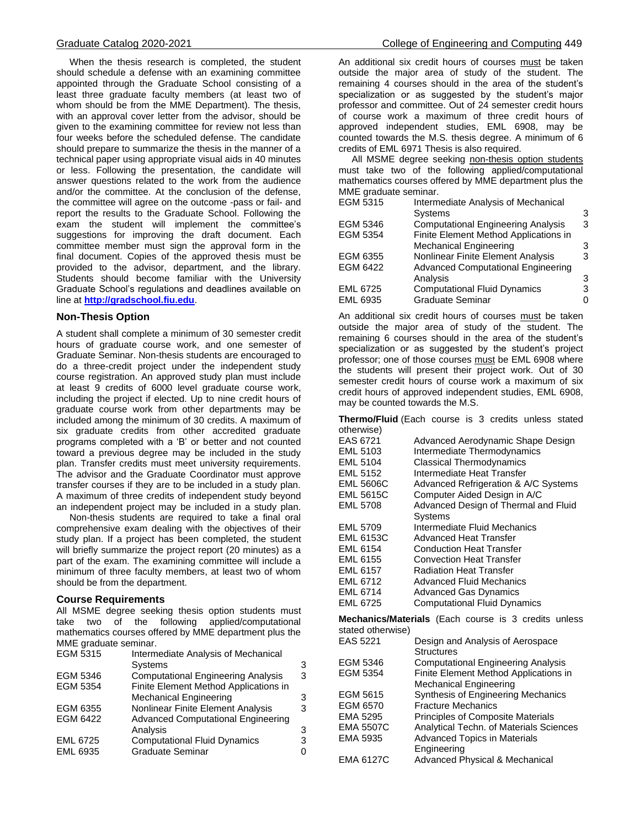When the thesis research is completed, the student should schedule a defense with an examining committee appointed through the Graduate School consisting of a least three graduate faculty members (at least two of whom should be from the MME Department). The thesis, with an approval cover letter from the advisor, should be given to the examining committee for review not less than four weeks before the scheduled defense. The candidate should prepare to summarize the thesis in the manner of a technical paper using appropriate visual aids in 40 minutes or less. Following the presentation, the candidate will answer questions related to the work from the audience and/or the committee. At the conclusion of the defense, the committee will agree on the outcome -pass or fail- and report the results to the Graduate School. Following the exam the student will implement the committee's suggestions for improving the draft document. Each committee member must sign the approval form in the final document. Copies of the approved thesis must be provided to the advisor, department, and the library. Students should become familiar with the University Graduate School's regulations and deadlines available on line at **[http://gradschool.fiu.edu](http://gradschool.fiu.edu/)**.

#### **Non-Thesis Option**

A student shall complete a minimum of 30 semester credit hours of graduate course work, and one semester of Graduate Seminar. Non-thesis students are encouraged to do a three-credit project under the independent study course registration. An approved study plan must include at least 9 credits of 6000 level graduate course work, including the project if elected. Up to nine credit hours of graduate course work from other departments may be included among the minimum of 30 credits. A maximum of six graduate credits from other accredited graduate programs completed with a 'B' or better and not counted toward a previous degree may be included in the study plan. Transfer credits must meet university requirements. The advisor and the Graduate Coordinator must approve transfer courses if they are to be included in a study plan. A maximum of three credits of independent study beyond an independent project may be included in a study plan.

 Non-thesis students are required to take a final oral comprehensive exam dealing with the objectives of their study plan. If a project has been completed, the student will briefly summarize the project report (20 minutes) as a part of the exam. The examining committee will include a minimum of three faculty members, at least two of whom should be from the department.

#### **Course Requirements**

All MSME degree seeking thesis option students must take two of the following applied/computational mathematics courses offered by MME department plus the MME graduate seminar.

| EGM 5315        | Intermediate Analysis of Mechanical       |   |
|-----------------|-------------------------------------------|---|
|                 | <b>Systems</b>                            | 3 |
| EGM 5346        | <b>Computational Engineering Analysis</b> | 3 |
| EGM 5354        | Finite Element Method Applications in     |   |
|                 | <b>Mechanical Engineering</b>             | 3 |
| EGM 6355        | Nonlinear Finite Element Analysis         | з |
| EGM 6422        | <b>Advanced Computational Engineering</b> |   |
|                 | Analysis                                  | 3 |
| <b>EML 6725</b> | <b>Computational Fluid Dynamics</b>       | з |
| <b>EML 6935</b> | <b>Graduate Seminar</b>                   |   |
|                 |                                           |   |

An additional six credit hours of courses must be taken outside the major area of study of the student. The remaining 4 courses should in the area of the student's specialization or as suggested by the student's major professor and committee. Out of 24 semester credit hours of course work a maximum of three credit hours of approved independent studies, EML 6908, may be counted towards the M.S. thesis degree. A minimum of 6 credits of EML 6971 Thesis is also required.

All MSME degree seeking non-thesis option students must take two of the following applied/computational mathematics courses offered by MME department plus the MME graduate seminar.

| EGM 5315        | Intermediate Analysis of Mechanical       |   |
|-----------------|-------------------------------------------|---|
|                 | <b>Systems</b>                            | 3 |
| EGM 5346        | <b>Computational Engineering Analysis</b> | 3 |
| EGM 5354        | Finite Element Method Applications in     |   |
|                 | <b>Mechanical Engineering</b>             | 3 |
| EGM 6355        | Nonlinear Finite Element Analysis         | з |
| EGM 6422        | <b>Advanced Computational Engineering</b> |   |
|                 | Analysis                                  | 3 |
| <b>EML 6725</b> | <b>Computational Fluid Dynamics</b>       |   |
| EML 6935        | <b>Graduate Seminar</b>                   |   |
|                 |                                           |   |

An additional six credit hours of courses must be taken outside the major area of study of the student. The remaining 6 courses should in the area of the student's specialization or as suggested by the student's project professor; one of those courses must be EML 6908 where the students will present their project work. Out of 30 semester credit hours of course work a maximum of six credit hours of approved independent studies, EML 6908, may be counted towards the M.S.

**Thermo/Fluid** (Each course is 3 credits unless stated otherwise)

| EAS 6721         | Advanced Aerodynamic Shape Design    |
|------------------|--------------------------------------|
| EML 5103         | Intermediate Thermodynamics          |
| <b>EML 5104</b>  | <b>Classical Thermodynamics</b>      |
| <b>EML 5152</b>  | Intermediate Heat Transfer           |
| <b>EML 5606C</b> | Advanced Refrigeration & A/C Systems |
| <b>EML 5615C</b> | Computer Aided Design in A/C         |
| <b>EML 5708</b>  | Advanced Design of Thermal and Fluid |
|                  | Systems                              |
| <b>EML 5709</b>  | Intermediate Fluid Mechanics         |
| <b>EML 6153C</b> | Advanced Heat Transfer               |
| EML 6154         | <b>Conduction Heat Transfer</b>      |
| EML 6155         | <b>Convection Heat Transfer</b>      |
| <b>EML 6157</b>  | <b>Radiation Heat Transfer</b>       |
| EML 6712         | <b>Advanced Fluid Mechanics</b>      |
| EML 6714         | <b>Advanced Gas Dynamics</b>         |
| <b>EML 6725</b>  | <b>Computational Fluid Dynamics</b>  |

**Mechanics/Materials** (Each course is 3 credits unless stated otherwise)

| EAS 5221         | Design and Analysis of Aerospace          |
|------------------|-------------------------------------------|
|                  | <b>Structures</b>                         |
| EGM 5346         | <b>Computational Engineering Analysis</b> |
| EGM 5354         | Finite Element Method Applications in     |
|                  | Mechanical Engineering                    |
| EGM 5615         | Synthesis of Engineering Mechanics        |
| EGM 6570         | <b>Fracture Mechanics</b>                 |
| EMA 5295         | <b>Principles of Composite Materials</b>  |
| <b>EMA 5507C</b> | Analytical Techn. of Materials Sciences   |
| EMA 5935         | <b>Advanced Topics in Materials</b>       |
|                  | Engineering                               |
| <b>EMA 6127C</b> | <b>Advanced Physical &amp; Mechanical</b> |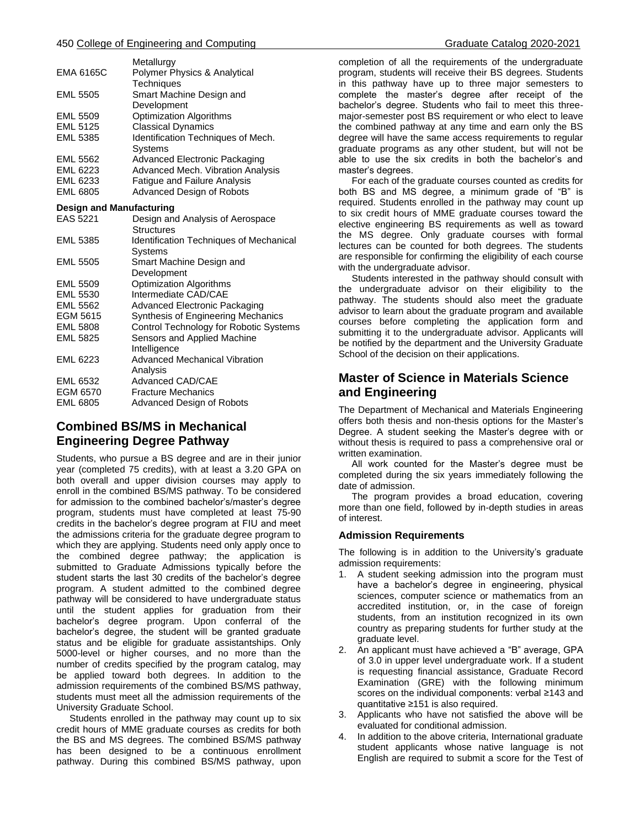|                                 | Metallurgy                                     |  |
|---------------------------------|------------------------------------------------|--|
| EMA 6165C                       | Polymer Physics & Analytical                   |  |
|                                 | <b>Techniques</b>                              |  |
| <b>EML 5505</b>                 | Smart Machine Design and                       |  |
|                                 | Development                                    |  |
| <b>EML 5509</b>                 | <b>Optimization Algorithms</b>                 |  |
| <b>EML 5125</b>                 | <b>Classical Dynamics</b>                      |  |
| <b>EML 5385</b>                 | Identification Techniques of Mech.<br>Systems  |  |
| <b>EML 5562</b>                 | Advanced Electronic Packaging                  |  |
| EML 6223                        | Advanced Mech. Vibration Analysis              |  |
| EML 6233                        | <b>Fatigue and Failure Analysis</b>            |  |
| <b>EML 6805</b>                 | Advanced Design of Robots                      |  |
| <b>Design and Manufacturing</b> |                                                |  |
| EAS 5221                        | Design and Analysis of Aerospace               |  |
|                                 | Structures                                     |  |
| <b>EML 5385</b>                 | <b>Identification Techniques of Mechanical</b> |  |
|                                 | Systems                                        |  |
| <b>EML 5505</b>                 | Smart Machine Design and                       |  |
|                                 | Development                                    |  |
| <b>EML 5509</b>                 | <b>Optimization Algorithms</b>                 |  |
| <b>EML 5530</b>                 | Intermediate CAD/CAE                           |  |
| <b>EML 5562</b>                 | <b>Advanced Electronic Packaging</b>           |  |
| EGM 5615                        | Synthesis of Engineering Mechanics             |  |
| <b>EML 5808</b>                 | Control Technology for Robotic Systems         |  |
| <b>EML 5825</b>                 | Sensors and Applied Machine                    |  |
|                                 | Intelligence                                   |  |
| EML 6223                        | <b>Advanced Mechanical Vibration</b>           |  |
|                                 | Analysis                                       |  |
| EML 6532                        | Advanced CAD/CAE                               |  |
| EGM 6570                        | <b>Fracture Mechanics</b>                      |  |
| <b>EML 6805</b>                 | Advanced Design of Robots                      |  |
|                                 |                                                |  |

# **Combined BS/MS in Mechanical Engineering Degree Pathway**

Students, who pursue a BS degree and are in their junior year (completed 75 credits), with at least a 3.20 GPA on both overall and upper division courses may apply to enroll in the combined BS/MS pathway. To be considered for admission to the combined bachelor's/master's degree program, students must have completed at least 75-90 credits in the bachelor's degree program at FIU and meet the admissions criteria for the graduate degree program to which they are applying. Students need only apply once to the combined degree pathway; the application is submitted to Graduate Admissions typically before the student starts the last 30 credits of the bachelor's degree program. A student admitted to the combined degree pathway will be considered to have undergraduate status until the student applies for graduation from their bachelor's degree program. Upon conferral of the bachelor's degree, the student will be granted graduate status and be eligible for graduate assistantships. Only 5000-level or higher courses, and no more than the number of credits specified by the program catalog, may be applied toward both degrees. In addition to the admission requirements of the combined BS/MS pathway, students must meet all the admission requirements of the University Graduate School.

 Students enrolled in the pathway may count up to six credit hours of MME graduate courses as credits for both the BS and MS degrees. The combined BS/MS pathway has been designed to be a continuous enrollment pathway. During this combined BS/MS pathway, upon

completion of all the requirements of the undergraduate program, students will receive their BS degrees. Students in this pathway have up to three major semesters to complete the master's degree after receipt of the bachelor's degree. Students who fail to meet this threemajor-semester post BS requirement or who elect to leave the combined pathway at any time and earn only the BS degree will have the same access requirements to regular graduate programs as any other student, but will not be able to use the six credits in both the bachelor's and master's degrees.

 For each of the graduate courses counted as credits for both BS and MS degree, a minimum grade of "B" is required. Students enrolled in the pathway may count up to six credit hours of MME graduate courses toward the elective engineering BS requirements as well as toward the MS degree. Only graduate courses with formal lectures can be counted for both degrees. The students are responsible for confirming the eligibility of each course with the undergraduate advisor.

 Students interested in the pathway should consult with the undergraduate advisor on their eligibility to the pathway. The students should also meet the graduate advisor to learn about the graduate program and available courses before completing the application form and submitting it to the undergraduate advisor. Applicants will be notified by the department and the University Graduate School of the decision on their applications.

# **Master of Science in Materials Science and Engineering**

The Department of Mechanical and Materials Engineering offers both thesis and non-thesis options for the Master's Degree. A student seeking the Master's degree with or without thesis is required to pass a comprehensive oral or written examination.

 All work counted for the Master's degree must be completed during the six years immediately following the date of admission.

 The program provides a broad education, covering more than one field, followed by in-depth studies in areas of interest.

# **Admission Requirements**

The following is in addition to the University's graduate admission requirements:

- 1. A student seeking admission into the program must have a bachelor's degree in engineering, physical sciences, computer science or mathematics from an accredited institution, or, in the case of foreign students, from an institution recognized in its own country as preparing students for further study at the graduate level.
- 2. An applicant must have achieved a "B" average, GPA of 3.0 in upper level undergraduate work. If a student is requesting financial assistance, Graduate Record Examination (GRE) with the following minimum scores on the individual components: verbal ≥143 and quantitative ≥151 is also required.
- 3. Applicants who have not satisfied the above will be evaluated for conditional admission.
- 4. In addition to the above criteria, International graduate student applicants whose native language is not English are required to submit a score for the Test of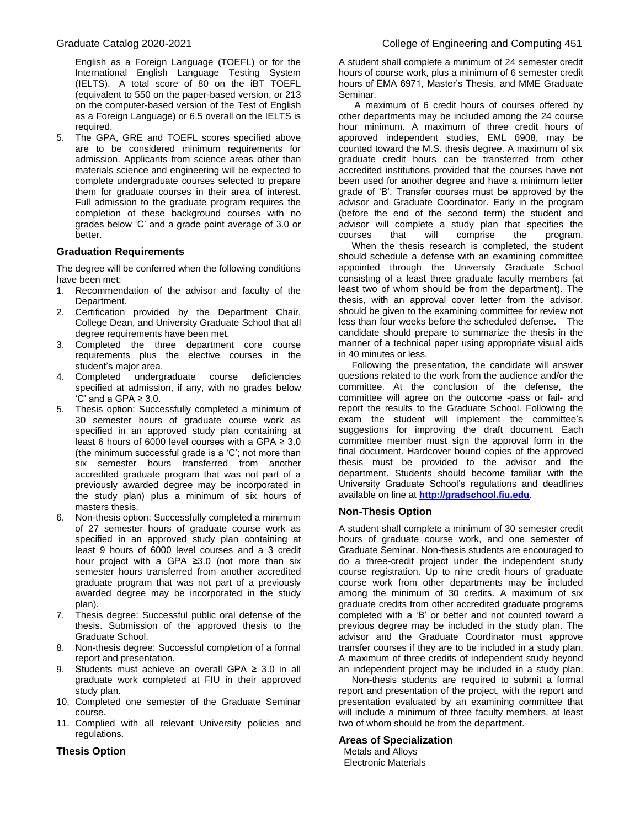English as a Foreign Language (TOEFL) or for the International English Language Testing System (IELTS). A total score of 80 on the iBT TOEFL (equivalent to 550 on the paper-based version, or 213 on the computer-based version of the Test of English as a Foreign Language) or 6.5 overall on the IELTS is required.

5. The GPA, GRE and TOEFL scores specified above are to be considered minimum requirements for admission. Applicants from science areas other than materials science and engineering will be expected to complete undergraduate courses selected to prepare them for graduate courses in their area of interest. Full admission to the graduate program requires the completion of these background courses with no grades below 'C' and a grade point average of 3.0 or better.

# **Graduation Requirements**

The degree will be conferred when the following conditions have been met:

- 1. Recommendation of the advisor and faculty of the Department.
- 2. Certification provided by the Department Chair, College Dean, and University Graduate School that all degree requirements have been met.
- 3. Completed the three department core course requirements plus the elective courses in the student's major area.
- 4. Completed undergraduate course deficiencies specified at admission, if any, with no grades below  $^{\circ}$ C' and a GPA  $\geq$  3.0.
- 5. Thesis option: Successfully completed a minimum of 30 semester hours of graduate course work as specified in an approved study plan containing at least 6 hours of 6000 level courses with a GPA  $\geq 3.0$ (the minimum successful grade is a 'C'; not more than six semester hours transferred from another accredited graduate program that was not part of a previously awarded degree may be incorporated in the study plan) plus a minimum of six hours of masters thesis.
- 6. Non-thesis option: Successfully completed a minimum of 27 semester hours of graduate course work as specified in an approved study plan containing at least 9 hours of 6000 level courses and a 3 credit hour project with a GPA ≥3.0 (not more than six semester hours transferred from another accredited graduate program that was not part of a previously awarded degree may be incorporated in the study plan).
- 7. Thesis degree: Successful public oral defense of the thesis. Submission of the approved thesis to the Graduate School.
- 8. Non-thesis degree: Successful completion of a formal report and presentation.
- 9. Students must achieve an overall GPA ≥ 3.0 in all graduate work completed at FIU in their approved study plan.
- 10. Completed one semester of the Graduate Seminar course.
- 11. Complied with all relevant University policies and regulations.

# **Thesis Option**

A student shall complete a minimum of 24 semester credit hours of course work, plus a minimum of 6 semester credit hours of EMA 6971, Master's Thesis, and MME Graduate Seminar.

 A maximum of 6 credit hours of courses offered by other departments may be included among the 24 course hour minimum. A maximum of three credit hours of approved independent studies, EML 6908, may be counted toward the M.S. thesis degree. A maximum of six graduate credit hours can be transferred from other accredited institutions provided that the courses have not been used for another degree and have a minimum letter grade of 'B'. Transfer courses must be approved by the advisor and Graduate Coordinator. Early in the program (before the end of the second term) the student and advisor will complete a study plan that specifies the courses that will comprise the program.

 When the thesis research is completed, the student should schedule a defense with an examining committee appointed through the University Graduate School consisting of a least three graduate faculty members (at least two of whom should be from the department). The thesis, with an approval cover letter from the advisor, should be given to the examining committee for review not less than four weeks before the scheduled defense. The candidate should prepare to summarize the thesis in the manner of a technical paper using appropriate visual aids in 40 minutes or less.

 Following the presentation, the candidate will answer questions related to the work from the audience and/or the committee. At the conclusion of the defense, the committee will agree on the outcome -pass or fail- and report the results to the Graduate School. Following the exam the student will implement the committee's suggestions for improving the draft document. Each committee member must sign the approval form in the final document. Hardcover bound copies of the approved thesis must be provided to the advisor and the department. Students should become familiar with the University Graduate School's regulations and deadlines available on line at **[http://gradschool.fiu.edu](http://gradschool.fiu.edu/)**.

# **Non-Thesis Option**

A student shall complete a minimum of 30 semester credit hours of graduate course work, and one semester of Graduate Seminar. Non-thesis students are encouraged to do a three-credit project under the independent study course registration. Up to nine credit hours of graduate course work from other departments may be included among the minimum of 30 credits. A maximum of six graduate credits from other accredited graduate programs completed with a 'B' or better and not counted toward a previous degree may be included in the study plan. The advisor and the Graduate Coordinator must approve transfer courses if they are to be included in a study plan. A maximum of three credits of independent study beyond an independent project may be included in a study plan.

 Non-thesis students are required to submit a formal report and presentation of the project, with the report and presentation evaluated by an examining committee that will include a minimum of three faculty members, at least two of whom should be from the department.

#### **Areas of Specialization**

Metals and Alloys Electronic Materials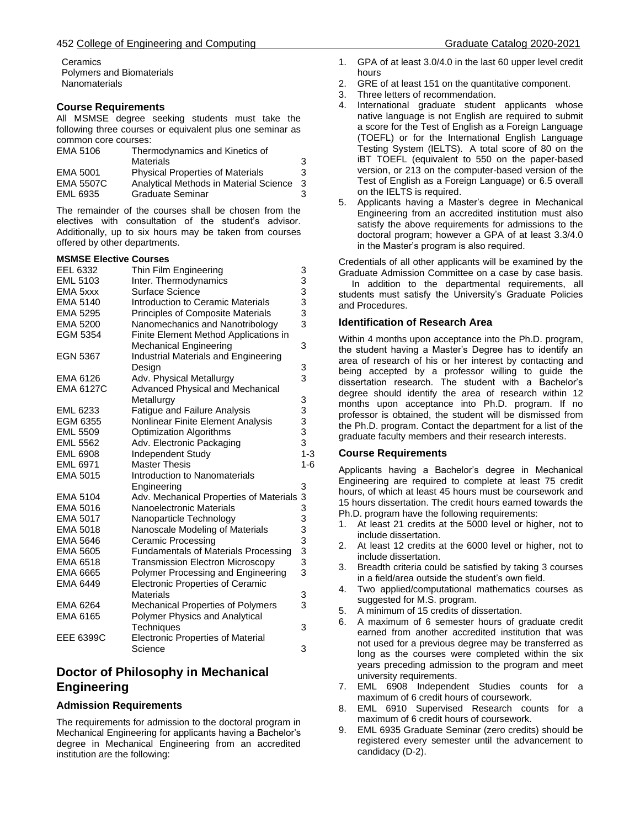**Ceramics** Polymers and Biomaterials **Nanomaterials** 

# **Course Requirements**

All MSMSE degree seeking students must take the following three courses or equivalent plus one seminar as common core courses:

| EMA 5106         | Thermodynamics and Kinetics of           |   |
|------------------|------------------------------------------|---|
|                  | Materials                                | 3 |
| EMA 5001         | <b>Physical Properties of Materials</b>  | 3 |
| <b>EMA 5507C</b> | Analytical Methods in Material Science 3 |   |
| EML 6935         | Graduate Seminar                         | 3 |

The remainder of the courses shall be chosen from the electives with consultation of the student's advisor. Additionally, up to six hours may be taken from courses offered by other departments.

#### **MSMSE Elective Courses**

| EEL 6332         | Thin Film Engineering                       |                                                 |
|------------------|---------------------------------------------|-------------------------------------------------|
| <b>EML 5103</b>  | Inter. Thermodynamics                       |                                                 |
| EMA 5xxx         | Surface Science                             |                                                 |
| EMA 5140         | Introduction to Ceramic Materials           |                                                 |
| <b>EMA 5295</b>  | <b>Principles of Composite Materials</b>    | 3333333                                         |
| <b>EMA 5200</b>  | Nanomechanics and Nanotribology             |                                                 |
| <b>EGM 5354</b>  | Finite Element Method Applications in       |                                                 |
|                  | Mechanical Engineering                      | 3                                               |
| <b>EGN 5367</b>  | <b>Industrial Materials and Engineering</b> |                                                 |
|                  | Design                                      | 3                                               |
| EMA 6126         | Adv. Physical Metallurgy                    | 3                                               |
| <b>EMA 6127C</b> | <b>Advanced Physical and Mechanical</b>     |                                                 |
|                  | Metallurgy                                  |                                                 |
| EML 6233         | <b>Fatigue and Failure Analysis</b>         | $\begin{array}{c} 3 \\ 3 \\ 3 \\ 3 \end{array}$ |
| EGM 6355         | Nonlinear Finite Element Analysis           |                                                 |
| <b>EML 5509</b>  | <b>Optimization Algorithms</b>              |                                                 |
| <b>EML 5562</b>  | Adv. Electronic Packaging                   |                                                 |
| <b>EML 6908</b>  | <b>Independent Study</b>                    | $1 - 3$                                         |
| <b>EML 6971</b>  | <b>Master Thesis</b>                        | $1-6$                                           |
| EMA 5015         | Introduction to Nanomaterials               |                                                 |
|                  | Engineering                                 | 3                                               |
| EMA 5104         | Adv. Mechanical Properties of Materials     | 3                                               |
| EMA 5016         | Nanoelectronic Materials                    |                                                 |
| <b>EMA 5017</b>  | Nanoparticle Technology                     |                                                 |
| EMA 5018         | Nanoscale Modeling of Materials             |                                                 |
| <b>EMA 5646</b>  | <b>Ceramic Processing</b>                   |                                                 |
| <b>EMA 5605</b>  | <b>Fundamentals of Materials Processing</b> | 33333333                                        |
| EMA 6518         | <b>Transmission Electron Microscopy</b>     |                                                 |
| EMA 6665         | Polymer Processing and Engineering          |                                                 |
| EMA 6449         | <b>Electronic Properties of Ceramic</b>     |                                                 |
|                  | Materials                                   | 3                                               |
| EMA 6264         | <b>Mechanical Properties of Polymers</b>    | 3                                               |
| EMA 6165         | Polymer Physics and Analytical              |                                                 |
|                  | Techniques                                  | 3                                               |
| EEE 6399C        | <b>Electronic Properties of Material</b>    |                                                 |
|                  | Science                                     | 3                                               |

# **Doctor of Philosophy in Mechanical Engineering**

# **Admission Requirements**

The requirements for admission to the doctoral program in Mechanical Engineering for applicants having a Bachelor's degree in Mechanical Engineering from an accredited institution are the following:

- 1. GPA of at least 3.0/4.0 in the last 60 upper level credit hours
- 2. GRE of at least 151 on the quantitative component.
- 3. Three letters of recommendation.
- 4. International graduate student applicants whose native language is not English are required to submit a score for the Test of English as a Foreign Language (TOEFL) or for the International English Language Testing System (IELTS). A total score of 80 on the iBT TOEFL (equivalent to 550 on the paper-based version, or 213 on the computer-based version of the Test of English as a Foreign Language) or 6.5 overall on the IELTS is required.
- 5. Applicants having a Master's degree in Mechanical Engineering from an accredited institution must also satisfy the above requirements for admissions to the doctoral program; however a GPA of at least 3.3/4.0 in the Master's program is also required.

Credentials of all other applicants will be examined by the Graduate Admission Committee on a case by case basis.

 In addition to the departmental requirements, all students must satisfy the University's Graduate Policies and Procedures.

# **Identification of Research Area**

Within 4 months upon acceptance into the Ph.D. program, the student having a Master's Degree has to identify an area of research of his or her interest by contacting and being accepted by a professor willing to guide the dissertation research. The student with a Bachelor's degree should identify the area of research within 12 months upon acceptance into Ph.D. program. If no professor is obtained, the student will be dismissed from the Ph.D. program. Contact the department for a list of the graduate faculty members and their research interests.

# **Course Requirements**

Applicants having a Bachelor's degree in Mechanical Engineering are required to complete at least 75 credit hours, of which at least 45 hours must be coursework and 15 hours dissertation. The credit hours earned towards the Ph.D. program have the following requirements:

- 1. At least 21 credits at the 5000 level or higher, not to include dissertation.
- 2. At least 12 credits at the 6000 level or higher, not to include dissertation.
- 3. Breadth criteria could be satisfied by taking 3 courses in a field/area outside the student's own field.
- 4. Two applied/computational mathematics courses as suggested for M.S. program.
- 5. A minimum of 15 credits of dissertation.
- 6. A maximum of 6 semester hours of graduate credit earned from another accredited institution that was not used for a previous degree may be transferred as long as the courses were completed within the six years preceding admission to the program and meet university requirements.
- 7. EML 6908 Independent Studies counts for a maximum of 6 credit hours of coursework.
- 8. EML 6910 Supervised Research counts for a maximum of 6 credit hours of coursework.
- 9. EML 6935 Graduate Seminar (zero credits) should be registered every semester until the advancement to candidacy (D-2).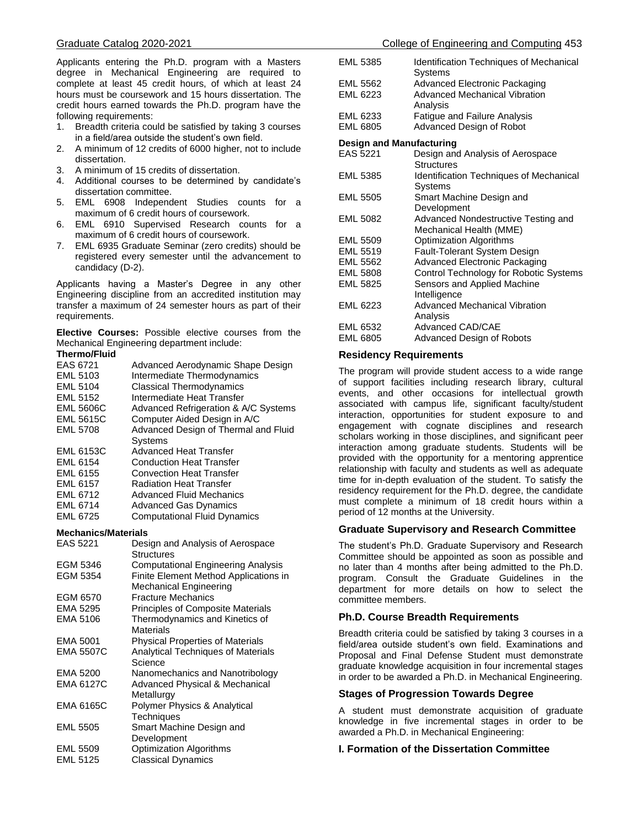Applicants entering the Ph.D. program with a Masters degree in Mechanical Engineering are required to complete at least 45 credit hours, of which at least 24 hours must be coursework and 15 hours dissertation. The credit hours earned towards the Ph.D. program have the following requirements:

- 1. Breadth criteria could be satisfied by taking 3 courses in a field/area outside the student's own field.
- 2. A minimum of 12 credits of 6000 higher, not to include dissertation.
- 3. A minimum of 15 credits of dissertation.
- 4. Additional courses to be determined by candidate's dissertation committee.
- 5. EML 6908 Independent Studies counts for a maximum of 6 credit hours of coursework.
- 6. EML 6910 Supervised Research counts for a maximum of 6 credit hours of coursework.
- 7. EML 6935 Graduate Seminar (zero credits) should be registered every semester until the advancement to candidacy (D-2).

Applicants having a Master's Degree in any other Engineering discipline from an accredited institution may transfer a maximum of 24 semester hours as part of their requirements.

**Elective Courses:** Possible elective courses from the Mechanical Engineering department include:

#### **Thermo/Fluid**

| EAS 6721<br>EML 5103<br><b>EML 5104</b><br><b>EML 5152</b><br><b>EML 5606C</b><br><b>EML 5615C</b><br><b>EML 5708</b> | Advanced Aerodynamic Shape Design<br>Intermediate Thermodynamics<br><b>Classical Thermodynamics</b><br>Intermediate Heat Transfer<br>Advanced Refrigeration & A/C Systems<br>Computer Aided Design in A/C<br>Advanced Design of Thermal and Fluid<br>Systems |
|-----------------------------------------------------------------------------------------------------------------------|--------------------------------------------------------------------------------------------------------------------------------------------------------------------------------------------------------------------------------------------------------------|
| <b>EML 6153C</b>                                                                                                      | <b>Advanced Heat Transfer</b>                                                                                                                                                                                                                                |
| EML 6154                                                                                                              | <b>Conduction Heat Transfer</b>                                                                                                                                                                                                                              |
| EML 6155                                                                                                              | <b>Convection Heat Transfer</b>                                                                                                                                                                                                                              |
| <b>EML 6157</b>                                                                                                       | <b>Radiation Heat Transfer</b>                                                                                                                                                                                                                               |
| <b>EML 6712</b>                                                                                                       | Advanced Fluid Mechanics                                                                                                                                                                                                                                     |
| EML 6714                                                                                                              | <b>Advanced Gas Dynamics</b>                                                                                                                                                                                                                                 |
| <b>EML 6725</b>                                                                                                       | <b>Computational Fluid Dynamics</b>                                                                                                                                                                                                                          |
|                                                                                                                       |                                                                                                                                                                                                                                                              |

#### **Mechanics/Materials**

| EAS 5221         | Design and Analysis of Aerospace<br><b>Structures</b>           |
|------------------|-----------------------------------------------------------------|
| EGM 5346         | <b>Computational Engineering Analysis</b>                       |
| EGM 5354         | Finite Element Method Applications in<br>Mechanical Engineering |
| EGM 6570         | <b>Fracture Mechanics</b>                                       |
| EMA 5295         | Principles of Composite Materials                               |
| EMA 5106         | Thermodynamics and Kinetics of<br>Materials                     |
| EMA 5001         | <b>Physical Properties of Materials</b>                         |
| EMA 5507C        | <b>Analytical Techniques of Materials</b><br>Science            |
| <b>EMA 5200</b>  | Nanomechanics and Nanotribology                                 |
| <b>EMA 6127C</b> | Advanced Physical & Mechanical<br>Metallurgy                    |
| EMA 6165C        | Polymer Physics & Analytical<br>Techniques                      |
| <b>EML 5505</b>  | Smart Machine Design and<br>Development                         |
| <b>EML 5509</b>  | <b>Optimization Algorithms</b>                                  |
| <b>EML 5125</b>  | <b>Classical Dynamics</b>                                       |

| EML 5385                 | <b>Identification Techniques of Mechanical</b><br>Systems |  |
|--------------------------|-----------------------------------------------------------|--|
| EML 5562                 | Advanced Electronic Packaging                             |  |
| FML 6223                 | Advanced Mechanical Vibration<br>Analysis                 |  |
| EML 6233                 | <b>Fatigue and Failure Analysis</b>                       |  |
| EML 6805                 | Advanced Design of Robot                                  |  |
| Design and Manufacturing |                                                           |  |
| EAS 5221                 | Design and Analysis of Aerospace                          |  |
|                          | Structures                                                |  |
| EML 5385                 | <b>Identification Techniques of Mechanical</b><br>Systems |  |
| <b>EML 5505</b>          | Smart Machine Design and                                  |  |
|                          | Development                                               |  |
| <b>EML 5082</b>          | Advanced Nondestructive Testing and                       |  |
|                          | Mechanical Health (MME)                                   |  |
| EML 5509                 | <b>Optimization Algorithms</b>                            |  |
| <b>EML 5519</b>          | Fault-Tolerant System Design                              |  |
| EML 5562                 | <b>Advanced Electronic Packaging</b>                      |  |
| EML 5808                 | Control Technology for Robotic Systems                    |  |
| EML 5825                 | Sensors and Applied Machine                               |  |
|                          | Intelligence                                              |  |
| EML 6223                 | <b>Advanced Mechanical Vibration</b>                      |  |
|                          | Analysis                                                  |  |
| EML 6532                 | Advanced CAD/CAE                                          |  |
| <b>EMI 6805</b>          | Advanced Design of Robots                                 |  |

#### **Residency Requirements**

The program will provide student access to a wide range of support facilities including research library, cultural events, and other occasions for intellectual growth associated with campus life, significant faculty/student interaction, opportunities for student exposure to and engagement with cognate disciplines and research scholars working in those disciplines, and significant peer interaction among graduate students. Students will be provided with the opportunity for a mentoring apprentice relationship with faculty and students as well as adequate time for in-depth evaluation of the student. To satisfy the residency requirement for the Ph.D. degree, the candidate must complete a minimum of 18 credit hours within a period of 12 months at the University.

#### **Graduate Supervisory and Research Committee**

The student's Ph.D. Graduate Supervisory and Research Committee should be appointed as soon as possible and no later than 4 months after being admitted to the Ph.D. program. Consult the Graduate Guidelines in the department for more details on how to select the committee members.

# **Ph.D. Course Breadth Requirements**

Breadth criteria could be satisfied by taking 3 courses in a field/area outside student's own field. Examinations and Proposal and Final Defense Student must demonstrate graduate knowledge acquisition in four incremental stages in order to be awarded a Ph.D. in Mechanical Engineering.

#### **Stages of Progression Towards Degree**

A student must demonstrate acquisition of graduate knowledge in five incremental stages in order to be awarded a Ph.D. in Mechanical Engineering:

#### **I. Formation of the Dissertation Committee**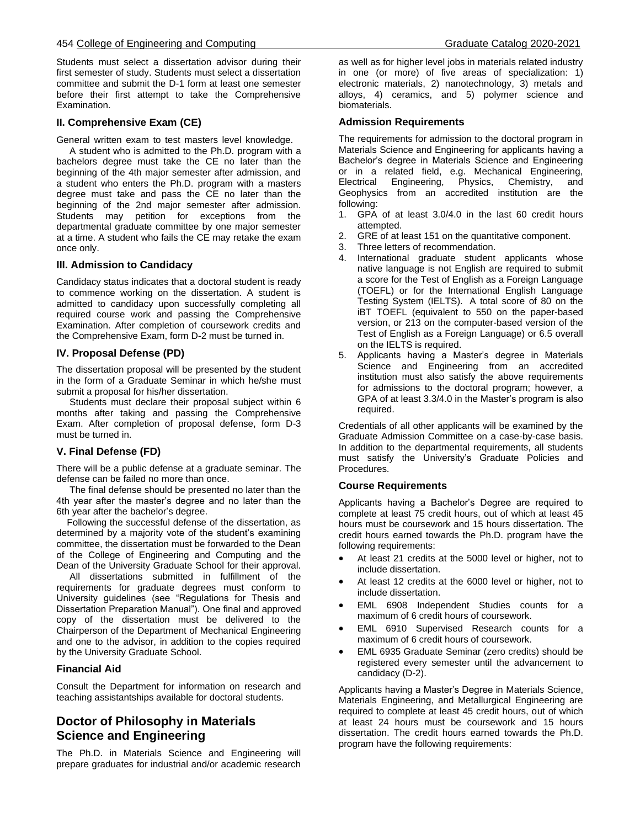#### 454 College of Engineering and Computing Graduate Catalog 2020-2021

Students must select a dissertation advisor during their first semester of study. Students must select a dissertation committee and submit the D-1 form at least one semester before their first attempt to take the Comprehensive Examination.

### **II. Comprehensive Exam (CE)**

General written exam to test masters level knowledge.

 A student who is admitted to the Ph.D. program with a bachelors degree must take the CE no later than the beginning of the 4th major semester after admission, and a student who enters the Ph.D. program with a masters degree must take and pass the CE no later than the beginning of the 2nd major semester after admission. Students may petition for exceptions from the departmental graduate committee by one major semester at a time. A student who fails the CE may retake the exam once only.

### **III. Admission to Candidacy**

Candidacy status indicates that a doctoral student is ready to commence working on the dissertation. A student is admitted to candidacy upon successfully completing all required course work and passing the Comprehensive Examination. After completion of coursework credits and the Comprehensive Exam, form D-2 must be turned in.

### **IV. Proposal Defense (PD)**

The dissertation proposal will be presented by the student in the form of a Graduate Seminar in which he/she must submit a proposal for his/her dissertation.

 Students must declare their proposal subject within 6 months after taking and passing the Comprehensive Exam. After completion of proposal defense, form D-3 must be turned in.

# **V. Final Defense (FD)**

There will be a public defense at a graduate seminar. The defense can be failed no more than once.

 The final defense should be presented no later than the 4th year after the master's degree and no later than the 6th year after the bachelor's degree.

 Following the successful defense of the dissertation, as determined by a majority vote of the student's examining committee, the dissertation must be forwarded to the Dean of the College of Engineering and Computing and the Dean of the University Graduate School for their approval.

 All dissertations submitted in fulfillment of the requirements for graduate degrees must conform to University guidelines (see "Regulations for Thesis and Dissertation Preparation Manual"). One final and approved copy of the dissertation must be delivered to the Chairperson of the Department of Mechanical Engineering and one to the advisor, in addition to the copies required by the University Graduate School.

# **Financial Aid**

Consult the Department for information on research and teaching assistantships available for doctoral students.

# **Doctor of Philosophy in Materials Science and Engineering**

The Ph.D. in Materials Science and Engineering will prepare graduates for industrial and/or academic research as well as for higher level jobs in materials related industry in one (or more) of five areas of specialization: 1) electronic materials, 2) nanotechnology, 3) metals and alloys, 4) ceramics, and 5) polymer science and biomaterials.

#### **Admission Requirements**

The requirements for admission to the doctoral program in Materials Science and Engineering for applicants having a Bachelor's degree in Materials Science and Engineering or in a related field, e.g. Mechanical Engineering, Electrical Engineering, Physics, Chemistry, and Geophysics from an accredited institution are the following:

- 1. GPA of at least 3.0/4.0 in the last 60 credit hours attempted.
- 2. GRE of at least 151 on the quantitative component.
- 3. Three letters of recommendation.
- 4. International graduate student applicants whose native language is not English are required to submit a score for the Test of English as a Foreign Language (TOEFL) or for the International English Language Testing System (IELTS). A total score of 80 on the iBT TOEFL (equivalent to 550 on the paper-based version, or 213 on the computer-based version of the Test of English as a Foreign Language) or 6.5 overall on the IELTS is required.
- 5. Applicants having a Master's degree in Materials Science and Engineering from an accredited institution must also satisfy the above requirements for admissions to the doctoral program; however, a GPA of at least 3.3/4.0 in the Master's program is also required.

Credentials of all other applicants will be examined by the Graduate Admission Committee on a case-by-case basis. In addition to the departmental requirements, all students must satisfy the University's Graduate Policies and Procedures.

#### **Course Requirements**

Applicants having a Bachelor's Degree are required to complete at least 75 credit hours, out of which at least 45 hours must be coursework and 15 hours dissertation. The credit hours earned towards the Ph.D. program have the following requirements:

- At least 21 credits at the 5000 level or higher, not to include dissertation.
- At least 12 credits at the 6000 level or higher, not to include dissertation.
- EML 6908 Independent Studies counts for a maximum of 6 credit hours of coursework.
- EML 6910 Supervised Research counts for a maximum of 6 credit hours of coursework.
- EML 6935 Graduate Seminar (zero credits) should be registered every semester until the advancement to candidacy (D-2).

Applicants having a Master's Degree in Materials Science, Materials Engineering, and Metallurgical Engineering are required to complete at least 45 credit hours, out of which at least 24 hours must be coursework and 15 hours dissertation. The credit hours earned towards the Ph.D. program have the following requirements: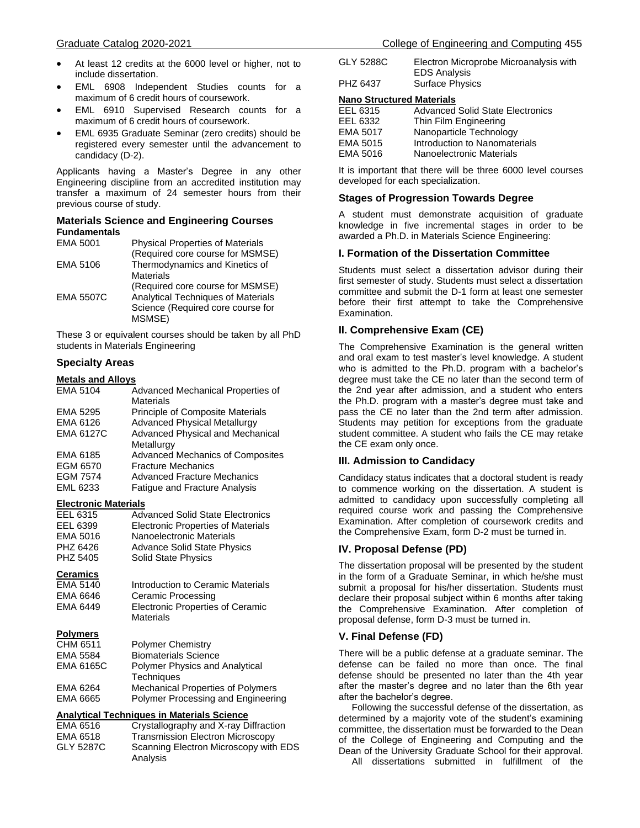- EML 6908 Independent Studies counts for a maximum of 6 credit hours of coursework.
- EML 6910 Supervised Research counts for a maximum of 6 credit hours of coursework.
- EML 6935 Graduate Seminar (zero credits) should be registered every semester until the advancement to candidacy (D-2).

Applicants having a Master's Degree in any other Engineering discipline from an accredited institution may transfer a maximum of 24 semester hours from their previous course of study.

#### **Materials Science and Engineering Courses Fundamentals**

| EMA 5001         | <b>Physical Properties of Materials</b><br>(Required core course for MSMSE)                                                         |
|------------------|-------------------------------------------------------------------------------------------------------------------------------------|
| EMA 5106         | Thermodynamics and Kinetics of<br>Materials                                                                                         |
| <b>EMA 5507C</b> | (Required core course for MSMSE)<br><b>Analytical Techniques of Materials</b><br>Science (Required core course for<br><b>MSMSE)</b> |

These 3 or equivalent courses should be taken by all PhD students in Materials Engineering

# **Specialty Areas**

# **Metals and Alloys**

| EMA 5104         | Advanced Mechanical Properties of       |
|------------------|-----------------------------------------|
|                  | <b>Materials</b>                        |
| EMA 5295         | <b>Principle of Composite Materials</b> |
| EMA 6126         | <b>Advanced Physical Metallurgy</b>     |
| <b>EMA 6127C</b> | <b>Advanced Physical and Mechanical</b> |
|                  | Metallurgy                              |
| EMA 6185         | <b>Advanced Mechanics of Composites</b> |
| EGM 6570         | <b>Fracture Mechanics</b>               |
| <b>EGM 7574</b>  | <b>Advanced Fracture Mechanics</b>      |
| EML 6233         | <b>Fatique and Fracture Analysis</b>    |

#### **Electronic Materials**

| EEL 6315 | <b>Advanced Solid State Electronics</b>   |
|----------|-------------------------------------------|
| EEL 6399 | <b>Electronic Properties of Materials</b> |
| EMA 5016 | Nanoelectronic Materials                  |
| PHZ 6426 | <b>Advance Solid State Physics</b>        |
| PHZ 5405 | <b>Solid State Physics</b>                |

# **Ceramics**

| EMA 5140 | Introduction to Ceramic Materials |
|----------|-----------------------------------|
| EMA 6646 | Ceramic Processing                |
| EMA 6449 | Electronic Properties of Ceramic  |
|          | <b>Materials</b>                  |

#### **Polymers**

| <b>Polymer Chemistry</b>                 |
|------------------------------------------|
| <b>Biomaterials Science</b>              |
| <b>Polymer Physics and Analytical</b>    |
| <b>Techniques</b>                        |
| <b>Mechanical Properties of Polymers</b> |
| Polymer Processing and Engineering       |
|                                          |

### **Analytical Techniques in Materials Science**

| EMA 6516  | Crystallography and X-ray Diffraction             |
|-----------|---------------------------------------------------|
| EMA 6518  | <b>Transmission Electron Microscopy</b>           |
| GLY 5287C | Scanning Electron Microscopy with EDS<br>Analysis |

| GLY 5288C | Electron Microprobe Microanalysis with |
|-----------|----------------------------------------|
|           | <b>EDS Analysis</b>                    |
| PHZ 6437  | <b>Surface Physics</b>                 |

#### **Nano Structured Materials**

| EEL 6315 | <b>Advanced Solid State Electronics</b> |
|----------|-----------------------------------------|
| EEL 6332 | Thin Film Engineering                   |
| EMA 5017 | Nanoparticle Technology                 |
| EMA 5015 | Introduction to Nanomaterials           |
| EMA 5016 | Nanoelectronic Materials                |

It is important that there will be three 6000 level courses developed for each specialization.

#### **Stages of Progression Towards Degree**

A student must demonstrate acquisition of graduate knowledge in five incremental stages in order to be awarded a Ph.D. in Materials Science Engineering:

### **I. Formation of the Dissertation Committee**

Students must select a dissertation advisor during their first semester of study. Students must select a dissertation committee and submit the D-1 form at least one semester before their first attempt to take the Comprehensive Examination.

# **II. Comprehensive Exam (CE)**

The Comprehensive Examination is the general written and oral exam to test master's level knowledge. A student who is admitted to the Ph.D. program with a bachelor's degree must take the CE no later than the second term of the 2nd year after admission, and a student who enters the Ph.D. program with a master's degree must take and pass the CE no later than the 2nd term after admission. Students may petition for exceptions from the graduate student committee. A student who fails the CE may retake the CE exam only once.

#### **III. Admission to Candidacy**

Candidacy status indicates that a doctoral student is ready to commence working on the dissertation. A student is admitted to candidacy upon successfully completing all required course work and passing the Comprehensive Examination. After completion of coursework credits and the Comprehensive Exam, form D-2 must be turned in.

#### **IV. Proposal Defense (PD)**

The dissertation proposal will be presented by the student in the form of a Graduate Seminar, in which he/she must submit a proposal for his/her dissertation. Students must declare their proposal subject within 6 months after taking the Comprehensive Examination. After completion of proposal defense, form D-3 must be turned in.

### **V. Final Defense (FD)**

There will be a public defense at a graduate seminar. The defense can be failed no more than once. The final defense should be presented no later than the 4th year after the master's degree and no later than the 6th year after the bachelor's degree.

 Following the successful defense of the dissertation, as determined by a majority vote of the student's examining committee, the dissertation must be forwarded to the Dean of the College of Engineering and Computing and the Dean of the University Graduate School for their approval. All dissertations submitted in fulfillment of the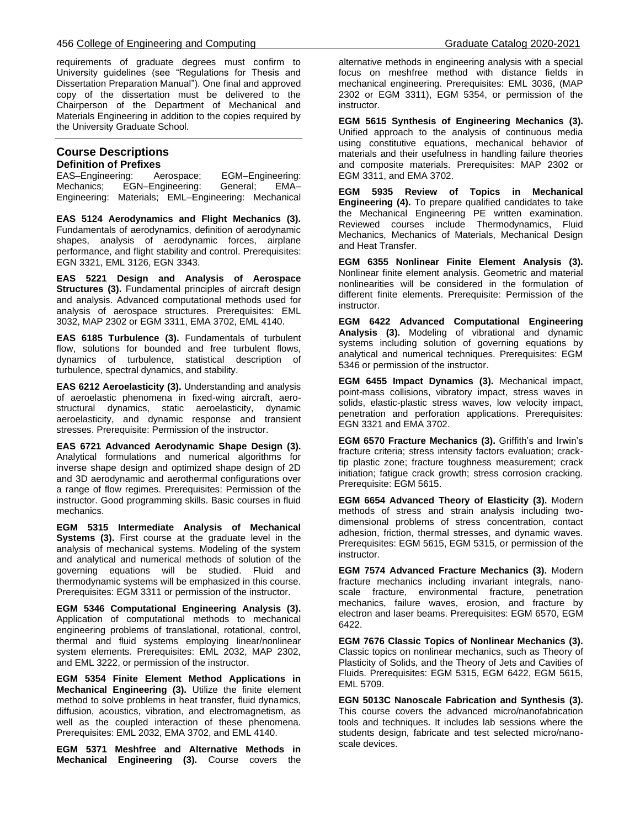requirements of graduate degrees must confirm to University guidelines (see "Regulations for Thesis and Dissertation Preparation Manual"). One final and approved copy of the dissertation must be delivered to the Chairperson of the Department of Mechanical and Materials Engineering in addition to the copies required by the University Graduate School.

# **Course Descriptions Definition of Prefixes**

EAS–Engineering: Aerospace; EGM–Engineering: Mechanics; EGN–Engineering: General; EMA– Engineering: Materials; EML–Engineering: Mechanical

**EAS 5124 Aerodynamics and Flight Mechanics (3).**  Fundamentals of aerodynamics, definition of aerodynamic shapes, analysis of aerodynamic forces, airplane performance, and flight stability and control. Prerequisites: EGN 3321, EML 3126, EGN 3343.

**EAS 5221 Design and Analysis of Aerospace Structures (3).** Fundamental principles of aircraft design and analysis. Advanced computational methods used for analysis of aerospace structures. Prerequisites: EML 3032, MAP 2302 or EGM 3311, EMA 3702, EML 4140.

**EAS 6185 Turbulence (3).** Fundamentals of turbulent flow, solutions for bounded and free turbulent flows, dynamics of turbulence, statistical description of turbulence, spectral dynamics, and stability.

**EAS 6212 Aeroelasticity (3).** Understanding and analysis of aeroelastic phenomena in fixed-wing aircraft, aerostructural dynamics, static aeroelasticity, dynamic aeroelasticity, and dynamic response and transient stresses. Prerequisite: Permission of the instructor.

**EAS 6721 Advanced Aerodynamic Shape Design (3).** Analytical formulations and numerical algorithms for inverse shape design and optimized shape design of 2D and 3D aerodynamic and aerothermal configurations over a range of flow regimes. Prerequisites: Permission of the instructor. Good programming skills. Basic courses in fluid mechanics.

**EGM 5315 Intermediate Analysis of Mechanical Systems (3).** First course at the graduate level in the analysis of mechanical systems. Modeling of the system and analytical and numerical methods of solution of the governing equations will be studied. Fluid and thermodynamic systems will be emphasized in this course. Prerequisites: EGM 3311 or permission of the instructor.

**EGM 5346 Computational Engineering Analysis (3).**  Application of computational methods to mechanical engineering problems of translational, rotational, control, thermal and fluid systems employing linear/nonlinear system elements. Prerequisites: EML 2032, MAP 2302, and EML 3222, or permission of the instructor.

**EGM 5354 Finite Element Method Applications in Mechanical Engineering (3).** Utilize the finite element method to solve problems in heat transfer, fluid dynamics, diffusion, acoustics, vibration, and electromagnetism, as well as the coupled interaction of these phenomena. Prerequisites: EML 2032, EMA 3702, and EML 4140.

**EGM 5371 Meshfree and Alternative Methods in Mechanical Engineering (3).** Course covers the alternative methods in engineering analysis with a special focus on meshfree method with distance fields in mechanical engineering. Prerequisites: EML 3036, (MAP 2302 or EGM 3311), EGM 5354, or permission of the instructor.

**EGM 5615 Synthesis of Engineering Mechanics (3).**  Unified approach to the analysis of continuous media using constitutive equations, mechanical behavior of materials and their usefulness in handling failure theories and composite materials. Prerequisites: MAP 2302 or EGM 3311, and EMA 3702.

**EGM 5935 Review of Topics in Mechanical Engineering (4).** To prepare qualified candidates to take the Mechanical Engineering PE written examination. Reviewed courses include Thermodynamics, Fluid Mechanics, Mechanics of Materials, Mechanical Design and Heat Transfer.

**EGM 6355 Nonlinear Finite Element Analysis (3).**  Nonlinear finite element analysis. Geometric and material nonlinearities will be considered in the formulation of different finite elements. Prerequisite: Permission of the instructor.

**EGM 6422 Advanced Computational Engineering Analysis (3).** Modeling of vibrational and dynamic systems including solution of governing equations by analytical and numerical techniques. Prerequisites: EGM 5346 or permission of the instructor.

**EGM 6455 Impact Dynamics (3).** Mechanical impact, point-mass collisions, vibratory impact, stress waves in solids, elastic-plastic stress waves, low velocity impact, penetration and perforation applications. Prerequisites: EGN 3321 and EMA 3702.

**EGM 6570 Fracture Mechanics (3).** Griffith's and Irwin's fracture criteria; stress intensity factors evaluation; cracktip plastic zone; fracture toughness measurement; crack initiation; fatigue crack growth; stress corrosion cracking. Prerequisite: EGM 5615.

**EGM 6654 Advanced Theory of Elasticity (3).** Modern methods of stress and strain analysis including twodimensional problems of stress concentration, contact adhesion, friction, thermal stresses, and dynamic waves. Prerequisites: EGM 5615, EGM 5315, or permission of the instructor.

**EGM 7574 Advanced Fracture Mechanics (3).** Modern fracture mechanics including invariant integrals, nanoscale fracture, environmental fracture, penetration mechanics, failure waves, erosion, and fracture by electron and laser beams. Prerequisites: EGM 6570, EGM 6422.

**EGM 7676 Classic Topics of Nonlinear Mechanics (3).**  Classic topics on nonlinear mechanics, such as Theory of Plasticity of Solids, and the Theory of Jets and Cavities of Fluids. Prerequisites: EGM 5315, EGM 6422, EGM 5615, EML 5709.

**EGN 5013C Nanoscale Fabrication and Synthesis (3).** This course covers the advanced micro/nanofabrication tools and techniques. It includes lab sessions where the students design, fabricate and test selected micro/nanoscale devices.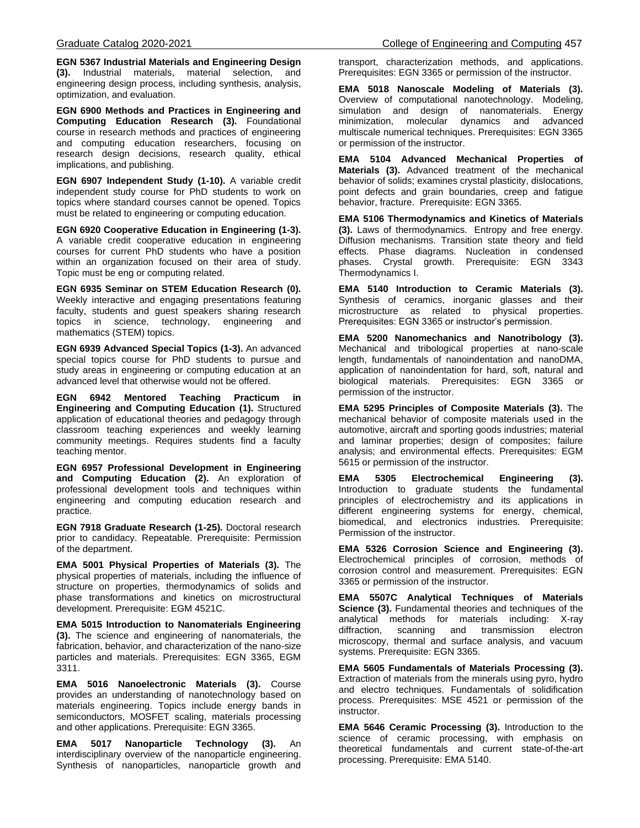**EGN 5367 Industrial Materials and Engineering Design (3).** Industrial materials, material selection, and engineering design process, including synthesis, analysis, optimization, and evaluation.

**EGN 6900 Methods and Practices in Engineering and Computing Education Research (3).** Foundational course in research methods and practices of engineering and computing education researchers, focusing on research design decisions, research quality, ethical implications, and publishing.

**EGN 6907 Independent Study (1-10).** A variable credit independent study course for PhD students to work on topics where standard courses cannot be opened. Topics must be related to engineering or computing education.

**EGN 6920 Cooperative Education in Engineering (1-3).** A variable credit cooperative education in engineering courses for current PhD students who have a position within an organization focused on their area of study. Topic must be eng or computing related.

**EGN 6935 Seminar on STEM Education Research (0).** Weekly interactive and engaging presentations featuring faculty, students and guest speakers sharing research topics in science, technology, engineering and mathematics (STEM) topics.

**EGN 6939 Advanced Special Topics (1-3).** An advanced special topics course for PhD students to pursue and study areas in engineering or computing education at an advanced level that otherwise would not be offered.

**EGN 6942 Mentored Teaching Practicum in Engineering and Computing Education (1).** Structured application of educational theories and pedagogy through classroom teaching experiences and weekly learning community meetings. Requires students find a faculty teaching mentor.

**EGN 6957 Professional Development in Engineering and Computing Education (2).** An exploration of professional development tools and techniques within engineering and computing education research and practice.

**EGN 7918 Graduate Research (1-25).** Doctoral research prior to candidacy. Repeatable. Prerequisite: Permission of the department.

**EMA 5001 Physical Properties of Materials (3).** The physical properties of materials, including the influence of structure on properties, thermodynamics of solids and phase transformations and kinetics on microstructural development. Prerequisite: EGM 4521C.

**EMA 5015 Introduction to Nanomaterials Engineering (3).** The science and engineering of nanomaterials, the fabrication, behavior, and characterization of the nano-size particles and materials. Prerequisites: EGN 3365, EGM 3311.

**EMA 5016 Nanoelectronic Materials (3).** Course provides an understanding of nanotechnology based on materials engineering. Topics include energy bands in semiconductors, MOSFET scaling, materials processing and other applications. Prerequisite: EGN 3365.

**EMA 5017 Nanoparticle Technology (3).** An interdisciplinary overview of the nanoparticle engineering. Synthesis of nanoparticles, nanoparticle growth and transport, characterization methods, and applications. Prerequisites: EGN 3365 or permission of the instructor.

**EMA 5018 Nanoscale Modeling of Materials (3).**  Overview of computational nanotechnology. Modeling, simulation and design of nanomaterials. Energy minimization, molecular dynamics and advanced multiscale numerical techniques. Prerequisites: EGN 3365 or permission of the instructor.

**EMA 5104 Advanced Mechanical Properties of Materials (3).** Advanced treatment of the mechanical behavior of solids; examines crystal plasticity, dislocations, point defects and grain boundaries, creep and fatigue behavior, fracture. Prerequisite: EGN 3365.

**EMA 5106 Thermodynamics and Kinetics of Materials (3).** Laws of thermodynamics. Entropy and free energy. Diffusion mechanisms. Transition state theory and field effects. Phase diagrams. Nucleation in condensed phases. Crystal growth. Prerequisite: EGN 3343 Thermodynamics I.

**EMA 5140 Introduction to Ceramic Materials (3).**  Synthesis of ceramics, inorganic glasses and their microstructure as related to physical properties. Prerequisites: EGN 3365 or instructor's permission.

**EMA 5200 Nanomechanics and Nanotribology (3).** Mechanical and tribological properties at nano-scale length, fundamentals of nanoindentation and nanoDMA, application of nanoindentation for hard, soft, natural and biological materials. Prerequisites: EGN 3365 or permission of the instructor.

**EMA 5295 Principles of Composite Materials (3).** The mechanical behavior of composite materials used in the automotive, aircraft and sporting goods industries; material and laminar properties; design of composites; failure analysis; and environmental effects. Prerequisites: EGM 5615 or permission of the instructor.

**EMA 5305 Electrochemical Engineering (3).** Introduction to graduate students the fundamental principles of electrochemistry and its applications in different engineering systems for energy, chemical, biomedical, and electronics industries. Prerequisite: Permission of the instructor.

**EMA 5326 Corrosion Science and Engineering (3).**  Electrochemical principles of corrosion, methods of corrosion control and measurement. Prerequisites: EGN 3365 or permission of the instructor.

**EMA 5507C Analytical Techniques of Materials Science (3).** Fundamental theories and techniques of the analytical methods for materials including: X-ray diffraction, scanning and transmission microscopy, thermal and surface analysis, and vacuum systems. Prerequisite: EGN 3365.

**EMA 5605 Fundamentals of Materials Processing (3).**  Extraction of materials from the minerals using pyro, hydro and electro techniques. Fundamentals of solidification process. Prerequisites: MSE 4521 or permission of the instructor.

**EMA 5646 Ceramic Processing (3).** Introduction to the science of ceramic processing, with emphasis on theoretical fundamentals and current state-of-the-art processing. Prerequisite: EMA 5140.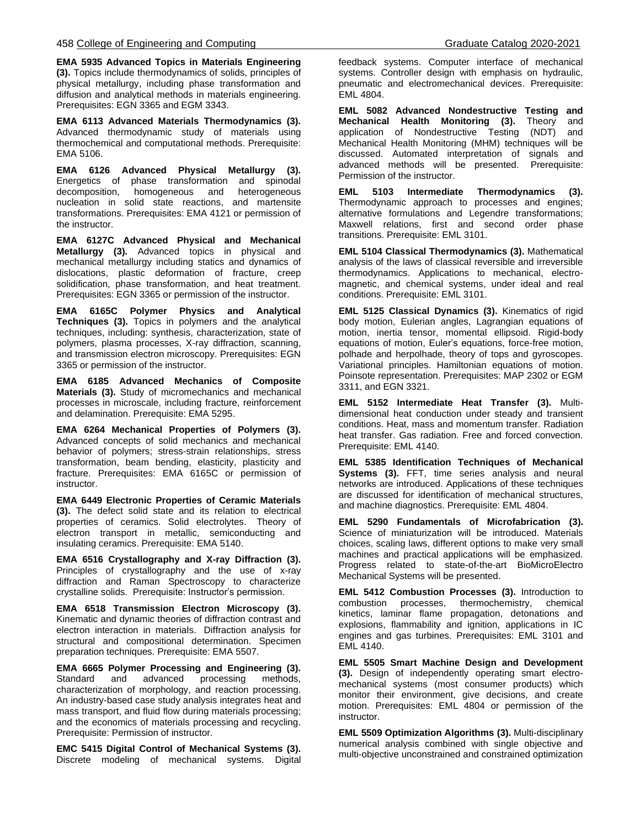**EMA 5935 Advanced Topics in Materials Engineering (3).** Topics include thermodynamics of solids, principles of physical metallurgy, including phase transformation and diffusion and analytical methods in materials engineering. Prerequisites: EGN 3365 and EGM 3343.

**EMA 6113 Advanced Materials Thermodynamics (3).**  Advanced thermodynamic study of materials using thermochemical and computational methods. Prerequisite: EMA 5106.

**EMA 6126 Advanced Physical Metallurgy (3).**  Energetics of phase transformation and spinodal decomposition, homogeneous and heterogeneous nucleation in solid state reactions, and martensite transformations. Prerequisites: EMA 4121 or permission of the instructor.

**EMA 6127C Advanced Physical and Mechanical Metallurgy (3).** Advanced topics in physical and mechanical metallurgy including statics and dynamics of dislocations, plastic deformation of fracture, creep solidification, phase transformation, and heat treatment. Prerequisites: EGN 3365 or permission of the instructor.

**EMA 6165C Polymer Physics and Analytical Techniques (3).** Topics in polymers and the analytical techniques, including: synthesis, characterization, state of polymers, plasma processes, X-ray diffraction, scanning, and transmission electron microscopy. Prerequisites: EGN 3365 or permission of the instructor.

**EMA 6185 Advanced Mechanics of Composite Materials (3).** Study of micromechanics and mechanical processes in microscale, including fracture, reinforcement and delamination. Prerequisite: EMA 5295.

**EMA 6264 Mechanical Properties of Polymers (3).**  Advanced concepts of solid mechanics and mechanical behavior of polymers; stress-strain relationships, stress transformation, beam bending, elasticity, plasticity and fracture. Prerequisites: EMA 6165C or permission of instructor.

**EMA 6449 Electronic Properties of Ceramic Materials (3).** The defect solid state and its relation to electrical properties of ceramics. Solid electrolytes. Theory of electron transport in metallic, semiconducting and insulating ceramics. Prerequisite: EMA 5140.

**EMA 6516 Crystallography and X-ray Diffraction (3).**  Principles of crystallography and the use of x-ray diffraction and Raman Spectroscopy to characterize crystalline solids. Prerequisite: Instructor's permission.

**EMA 6518 Transmission Electron Microscopy (3).**  Kinematic and dynamic theories of diffraction contrast and electron interaction in materials. Diffraction analysis for structural and compositional determination. Specimen preparation techniques. Prerequisite: EMA 5507.

**EMA 6665 Polymer Processing and Engineering (3).**  Standard and advanced processing methods, characterization of morphology, and reaction processing. An industry-based case study analysis integrates heat and mass transport, and fluid flow during materials processing; and the economics of materials processing and recycling. Prerequisite: Permission of instructor.

**EMC 5415 Digital Control of Mechanical Systems (3).**  Discrete modeling of mechanical systems. Digital feedback systems. Computer interface of mechanical systems. Controller design with emphasis on hydraulic, pneumatic and electromechanical devices. Prerequisite: EML 4804.

**EML 5082 Advanced Nondestructive Testing and Mechanical Health Monitoring (3).** Theory and application of Nondestructive Testing (NDT) and Mechanical Health Monitoring (MHM) techniques will be discussed. Automated interpretation of signals and advanced methods will be presented. Prerequisite: Permission of the instructor.

**EML 5103 Intermediate Thermodynamics (3).**  Thermodynamic approach to processes and engines; alternative formulations and Legendre transformations; Maxwell relations, first and second order phase transitions. Prerequisite: EML 3101.

**EML 5104 Classical Thermodynamics (3).** Mathematical analysis of the laws of classical reversible and irreversible thermodynamics. Applications to mechanical, electromagnetic, and chemical systems, under ideal and real conditions. Prerequisite: EML 3101.

**EML 5125 Classical Dynamics (3).** Kinematics of rigid body motion, Eulerian angles, Lagrangian equations of motion, inertia tensor, momental ellipsoid. Rigid-body equations of motion, Euler's equations, force-free motion, polhade and herpolhade, theory of tops and gyroscopes. Variational principles. Hamiltonian equations of motion. Poinsote representation. Prerequisites: MAP 2302 or EGM 3311, and EGN 3321.

**EML 5152 Intermediate Heat Transfer (3).** Multidimensional heat conduction under steady and transient conditions. Heat, mass and momentum transfer. Radiation heat transfer. Gas radiation. Free and forced convection. Prerequisite: EML 4140.

**EML 5385 Identification Techniques of Mechanical Systems (3).** FFT, time series analysis and neural networks are introduced. Applications of these techniques are discussed for identification of mechanical structures, and machine diagnostics. Prerequisite: EML 4804.

**EML 5290 Fundamentals of Microfabrication (3).**  Science of miniaturization will be introduced. Materials choices, scaling laws, different options to make very small machines and practical applications will be emphasized. Progress related to state-of-the-art BioMicroElectro Mechanical Systems will be presented.

**EML 5412 Combustion Processes (3).** Introduction to combustion processes, thermochemistry, chemical combustion processes, kinetics, laminar flame propagation, detonations and explosions, flammability and ignition, applications in IC engines and gas turbines. Prerequisites: EML 3101 and EML 4140.

**EML 5505 Smart Machine Design and Development (3).** Design of independently operating smart electromechanical systems (most consumer products) which monitor their environment, give decisions, and create motion. Prerequisites: EML 4804 or permission of the instructor.

**EML 5509 Optimization Algorithms (3).** Multi-disciplinary numerical analysis combined with single objective and multi-objective unconstrained and constrained optimization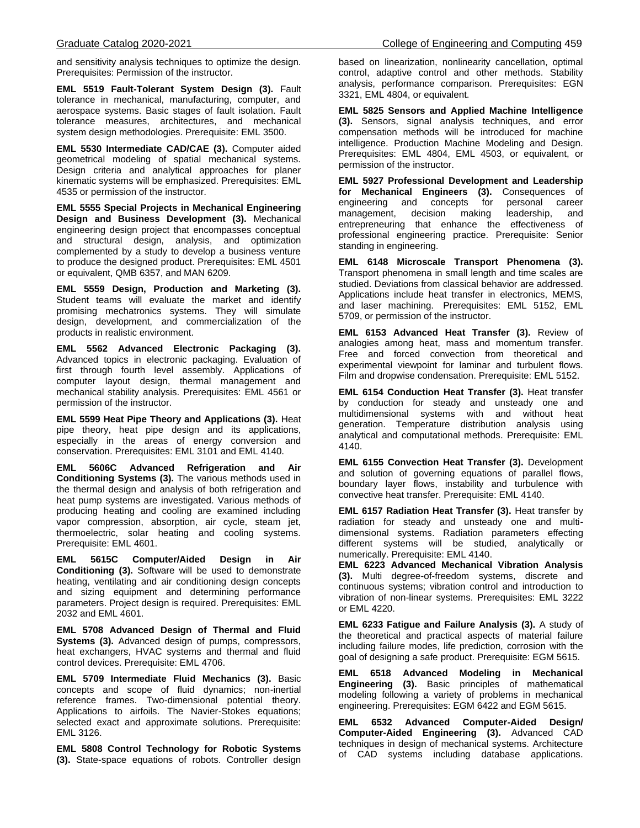and sensitivity analysis techniques to optimize the design. Prerequisites: Permission of the instructor.

**EML 5519 Fault-Tolerant System Design (3).** Fault tolerance in mechanical, manufacturing, computer, and aerospace systems. Basic stages of fault isolation. Fault tolerance measures, architectures, and mechanical system design methodologies. Prerequisite: EML 3500.

**EML 5530 Intermediate CAD/CAE (3).** Computer aided geometrical modeling of spatial mechanical systems. Design criteria and analytical approaches for planer kinematic systems will be emphasized. Prerequisites: EML 4535 or permission of the instructor.

**EML 5555 Special Projects in Mechanical Engineering Design and Business Development (3).** Mechanical engineering design project that encompasses conceptual and structural design, analysis, and optimization complemented by a study to develop a business venture to produce the designed product. Prerequisites: EML 4501 or equivalent, QMB 6357, and MAN 6209.

**EML 5559 Design, Production and Marketing (3).** Student teams will evaluate the market and identify promising mechatronics systems. They will simulate design, development, and commercialization of the products in realistic environment.

**EML 5562 Advanced Electronic Packaging (3).**  Advanced topics in electronic packaging. Evaluation of first through fourth level assembly. Applications of computer layout design, thermal management and mechanical stability analysis. Prerequisites: EML 4561 or permission of the instructor.

**EML 5599 Heat Pipe Theory and Applications (3).** Heat pipe theory, heat pipe design and its applications, especially in the areas of energy conversion and conservation. Prerequisites: EML 3101 and EML 4140.

**EML 5606C Advanced Refrigeration and Air Conditioning Systems (3).** The various methods used in the thermal design and analysis of both refrigeration and heat pump systems are investigated. Various methods of producing heating and cooling are examined including vapor compression, absorption, air cycle, steam jet, thermoelectric, solar heating and cooling systems. Prerequisite: EML 4601.

**EML 5615C Computer/Aided Design in Air Conditioning (3).** Software will be used to demonstrate heating, ventilating and air conditioning design concepts and sizing equipment and determining performance parameters. Project design is required. Prerequisites: EML 2032 and EML 4601.

**EML 5708 Advanced Design of Thermal and Fluid Systems (3).** Advanced design of pumps, compressors, heat exchangers, HVAC systems and thermal and fluid control devices. Prerequisite: EML 4706.

**EML 5709 Intermediate Fluid Mechanics (3).** Basic concepts and scope of fluid dynamics; non-inertial reference frames. Two-dimensional potential theory. Applications to airfoils. The Navier-Stokes equations; selected exact and approximate solutions. Prerequisite: EML 3126.

**EML 5808 Control Technology for Robotic Systems (3).** State-space equations of robots. Controller design

based on linearization, nonlinearity cancellation, optimal control, adaptive control and other methods. Stability analysis, performance comparison. Prerequisites: EGN 3321, EML 4804, or equivalent.

**EML 5825 Sensors and Applied Machine Intelligence (3).** Sensors, signal analysis techniques, and error compensation methods will be introduced for machine intelligence. Production Machine Modeling and Design. Prerequisites: EML 4804, EML 4503, or equivalent, or permission of the instructor.

**EML 5927 Professional Development and Leadership for Mechanical Engineers (3).** Consequences of engineering and concepts for personal career management, decision making leadership, and entrepreneuring that enhance the effectiveness of professional engineering practice. Prerequisite: Senior standing in engineering.

**EML 6148 Microscale Transport Phenomena (3).**  Transport phenomena in small length and time scales are studied. Deviations from classical behavior are addressed. Applications include heat transfer in electronics, MEMS, and laser machining. Prerequisites: EML 5152, EML 5709, or permission of the instructor.

**EML 6153 Advanced Heat Transfer (3).** Review of analogies among heat, mass and momentum transfer. Free and forced convection from theoretical and experimental viewpoint for laminar and turbulent flows. Film and dropwise condensation. Prerequisite: EML 5152.

**EML 6154 Conduction Heat Transfer (3).** Heat transfer by conduction for steady and unsteady one and multidimensional systems with and without heat generation. Temperature distribution analysis using analytical and computational methods. Prerequisite: EML 4140.

**EML 6155 Convection Heat Transfer (3).** Development and solution of governing equations of parallel flows, boundary layer flows, instability and turbulence with convective heat transfer. Prerequisite: EML 4140.

**EML 6157 Radiation Heat Transfer (3).** Heat transfer by radiation for steady and unsteady one and multidimensional systems. Radiation parameters effecting different systems will be studied, analytically or numerically. Prerequisite: EML 4140.

**EML 6223 Advanced Mechanical Vibration Analysis (3).** Multi degree-of-freedom systems, discrete and continuous systems; vibration control and introduction to vibration of non-linear systems. Prerequisites: EML 3222 or EML 4220.

**EML 6233 Fatigue and Failure Analysis (3).** A study of the theoretical and practical aspects of material failure including failure modes, life prediction, corrosion with the goal of designing a safe product. Prerequisite: EGM 5615.

**EML 6518 Advanced Modeling in Mechanical Engineering (3).** Basic principles of mathematical modeling following a variety of problems in mechanical engineering. Prerequisites: EGM 6422 and EGM 5615.

**EML 6532 Advanced Computer-Aided Design/ Computer-Aided Engineering (3).** Advanced CAD techniques in design of mechanical systems. Architecture of CAD systems including database applications.